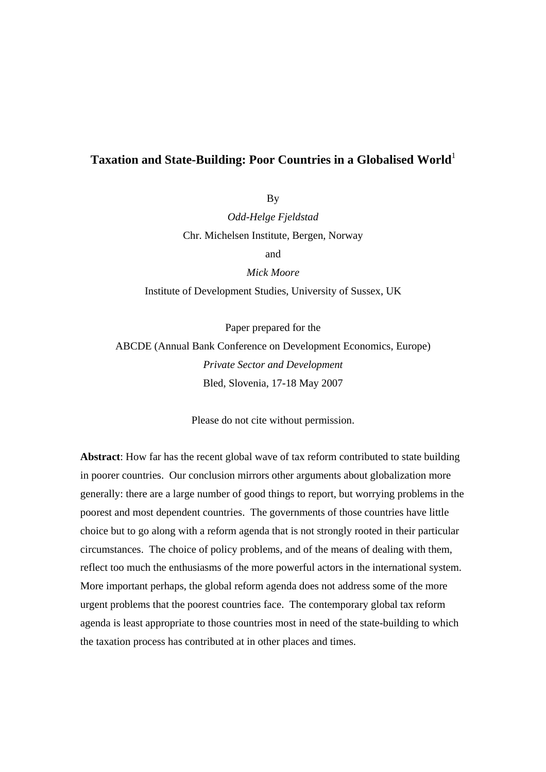# **Taxation and State-Building: Poor Countries in a Globalised World**<sup>1</sup>

By

*Odd-Helge Fjeldstad*  Chr. Michelsen Institute, Bergen, Norway

and

*Mick Moore*  Institute of Development Studies, University of Sussex, UK

Paper prepared for the ABCDE (Annual Bank Conference on Development Economics, Europe) *Private Sector and Development* Bled, Slovenia, 17-18 May 2007

Please do not cite without permission.

**Abstract**: How far has the recent global wave of tax reform contributed to state building in poorer countries. Our conclusion mirrors other arguments about globalization more generally: there are a large number of good things to report, but worrying problems in the poorest and most dependent countries. The governments of those countries have little choice but to go along with a reform agenda that is not strongly rooted in their particular circumstances. The choice of policy problems, and of the means of dealing with them, reflect too much the enthusiasms of the more powerful actors in the international system. More important perhaps, the global reform agenda does not address some of the more urgent problems that the poorest countries face. The contemporary global tax reform agenda is least appropriate to those countries most in need of the state-building to which the taxation process has contributed at in other places and times.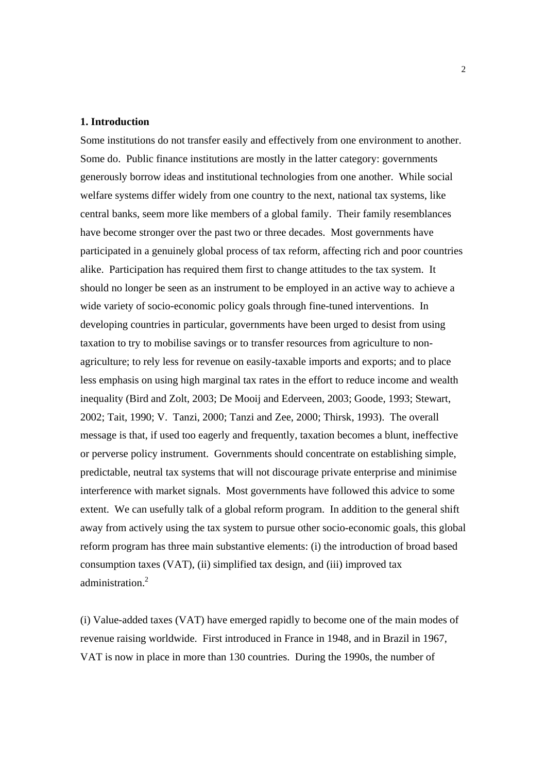## **1. Introduction**

Some institutions do not transfer easily and effectively from one environment to another. Some do. Public finance institutions are mostly in the latter category: governments generously borrow ideas and institutional technologies from one another. While social welfare systems differ widely from one country to the next, national tax systems, like central banks, seem more like members of a global family. Their family resemblances have become stronger over the past two or three decades. Most governments have participated in a genuinely global process of tax reform, affecting rich and poor countries alike. Participation has required them first to change attitudes to the tax system. It should no longer be seen as an instrument to be employed in an active way to achieve a wide variety of socio-economic policy goals through fine-tuned interventions. In developing countries in particular, governments have been urged to desist from using taxation to try to mobilise savings or to transfer resources from agriculture to nonagriculture; to rely less for revenue on easily-taxable imports and exports; and to place less emphasis on using high marginal tax rates in the effort to reduce income and wealth inequality (Bird and Zolt, 2003; De Mooij and Ederveen, 2003; Goode, 1993; Stewart, 2002; Tait, 1990; V. Tanzi, 2000; Tanzi and Zee, 2000; Thirsk, 1993). The overall message is that, if used too eagerly and frequently, taxation becomes a blunt, ineffective or perverse policy instrument. Governments should concentrate on establishing simple, predictable, neutral tax systems that will not discourage private enterprise and minimise interference with market signals. Most governments have followed this advice to some extent. We can usefully talk of a global reform program. In addition to the general shift away from actively using the tax system to pursue other socio-economic goals, this global reform program has three main substantive elements: (i) the introduction of broad based consumption taxes (VAT), (ii) simplified tax design, and (iii) improved tax administration.<sup>2</sup>

(i) Value-added taxes (VAT) have emerged rapidly to become one of the main modes of revenue raising worldwide. First introduced in France in 1948, and in Brazil in 1967, VAT is now in place in more than 130 countries. During the 1990s, the number of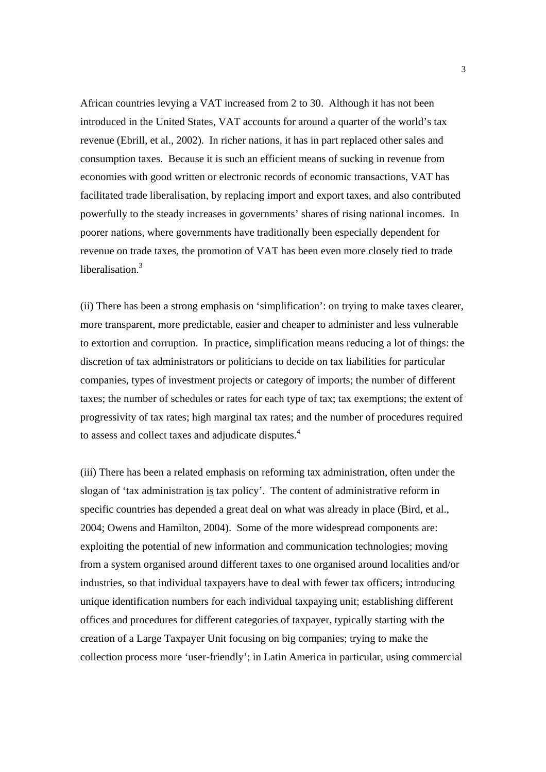African countries levying a VAT increased from 2 to 30. Although it has not been introduced in the United States, VAT accounts for around a quarter of the world's tax revenue (Ebrill, et al., 2002). In richer nations, it has in part replaced other sales and consumption taxes. Because it is such an efficient means of sucking in revenue from economies with good written or electronic records of economic transactions, VAT has facilitated trade liberalisation, by replacing import and export taxes, and also contributed powerfully to the steady increases in governments' shares of rising national incomes. In poorer nations, where governments have traditionally been especially dependent for revenue on trade taxes, the promotion of VAT has been even more closely tied to trade liberalisation.<sup>3</sup>

(ii) There has been a strong emphasis on 'simplification': on trying to make taxes clearer, more transparent, more predictable, easier and cheaper to administer and less vulnerable to extortion and corruption. In practice, simplification means reducing a lot of things: the discretion of tax administrators or politicians to decide on tax liabilities for particular companies, types of investment projects or category of imports; the number of different taxes; the number of schedules or rates for each type of tax; tax exemptions; the extent of progressivity of tax rates; high marginal tax rates; and the number of procedures required to assess and collect taxes and adjudicate disputes.<sup>4</sup>

(iii) There has been a related emphasis on reforming tax administration, often under the slogan of 'tax administration is tax policy'. The content of administrative reform in specific countries has depended a great deal on what was already in place (Bird, et al., 2004; Owens and Hamilton, 2004). Some of the more widespread components are: exploiting the potential of new information and communication technologies; moving from a system organised around different taxes to one organised around localities and/or industries, so that individual taxpayers have to deal with fewer tax officers; introducing unique identification numbers for each individual taxpaying unit; establishing different offices and procedures for different categories of taxpayer, typically starting with the creation of a Large Taxpayer Unit focusing on big companies; trying to make the collection process more 'user-friendly'; in Latin America in particular, using commercial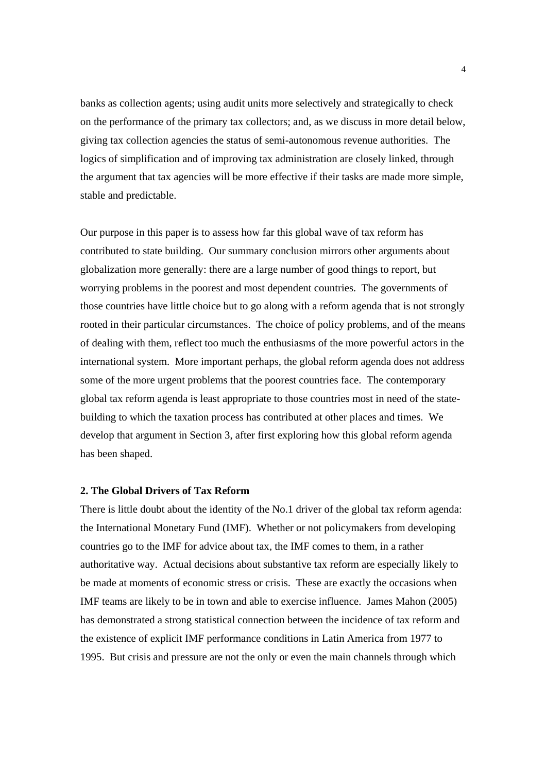banks as collection agents; using audit units more selectively and strategically to check on the performance of the primary tax collectors; and, as we discuss in more detail below, giving tax collection agencies the status of semi-autonomous revenue authorities. The logics of simplification and of improving tax administration are closely linked, through the argument that tax agencies will be more effective if their tasks are made more simple, stable and predictable.

Our purpose in this paper is to assess how far this global wave of tax reform has contributed to state building. Our summary conclusion mirrors other arguments about globalization more generally: there are a large number of good things to report, but worrying problems in the poorest and most dependent countries. The governments of those countries have little choice but to go along with a reform agenda that is not strongly rooted in their particular circumstances. The choice of policy problems, and of the means of dealing with them, reflect too much the enthusiasms of the more powerful actors in the international system. More important perhaps, the global reform agenda does not address some of the more urgent problems that the poorest countries face. The contemporary global tax reform agenda is least appropriate to those countries most in need of the statebuilding to which the taxation process has contributed at other places and times. We develop that argument in Section 3, after first exploring how this global reform agenda has been shaped.

## **2. The Global Drivers of Tax Reform**

There is little doubt about the identity of the No.1 driver of the global tax reform agenda: the International Monetary Fund (IMF). Whether or not policymakers from developing countries go to the IMF for advice about tax, the IMF comes to them, in a rather authoritative way. Actual decisions about substantive tax reform are especially likely to be made at moments of economic stress or crisis. These are exactly the occasions when IMF teams are likely to be in town and able to exercise influence. James Mahon (2005) has demonstrated a strong statistical connection between the incidence of tax reform and the existence of explicit IMF performance conditions in Latin America from 1977 to 1995. But crisis and pressure are not the only or even the main channels through which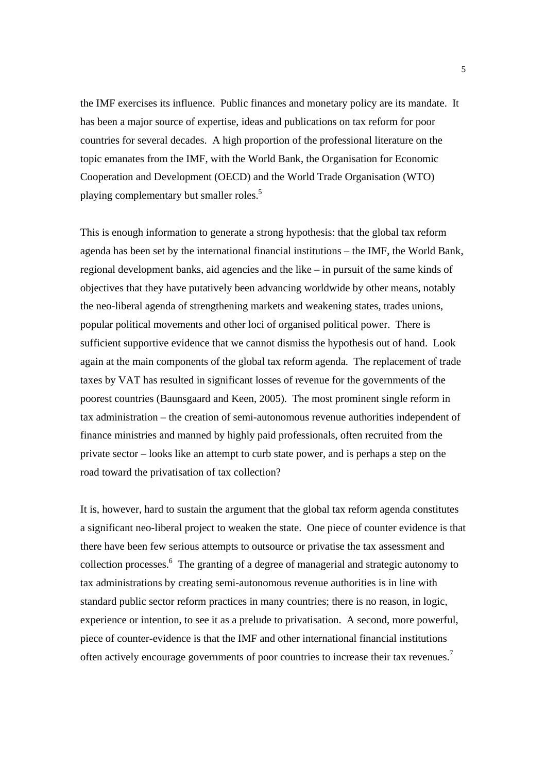the IMF exercises its influence. Public finances and monetary policy are its mandate. It has been a major source of expertise, ideas and publications on tax reform for poor countries for several decades. A high proportion of the professional literature on the topic emanates from the IMF, with the World Bank, the Organisation for Economic Cooperation and Development (OECD) and the World Trade Organisation (WTO) playing complementary but smaller roles.<sup>5</sup>

This is enough information to generate a strong hypothesis: that the global tax reform agenda has been set by the international financial institutions – the IMF, the World Bank, regional development banks, aid agencies and the like – in pursuit of the same kinds of objectives that they have putatively been advancing worldwide by other means, notably the neo-liberal agenda of strengthening markets and weakening states, trades unions, popular political movements and other loci of organised political power. There is sufficient supportive evidence that we cannot dismiss the hypothesis out of hand. Look again at the main components of the global tax reform agenda. The replacement of trade taxes by VAT has resulted in significant losses of revenue for the governments of the poorest countries (Baunsgaard and Keen, 2005). The most prominent single reform in tax administration – the creation of semi-autonomous revenue authorities independent of finance ministries and manned by highly paid professionals, often recruited from the private sector – looks like an attempt to curb state power, and is perhaps a step on the road toward the privatisation of tax collection?

It is, however, hard to sustain the argument that the global tax reform agenda constitutes a significant neo-liberal project to weaken the state. One piece of counter evidence is that there have been few serious attempts to outsource or privatise the tax assessment and collection processes.<sup>6</sup> The granting of a degree of managerial and strategic autonomy to tax administrations by creating semi-autonomous revenue authorities is in line with standard public sector reform practices in many countries; there is no reason, in logic, experience or intention, to see it as a prelude to privatisation. A second, more powerful, piece of counter-evidence is that the IMF and other international financial institutions often actively encourage governments of poor countries to increase their tax revenues.<sup>7</sup>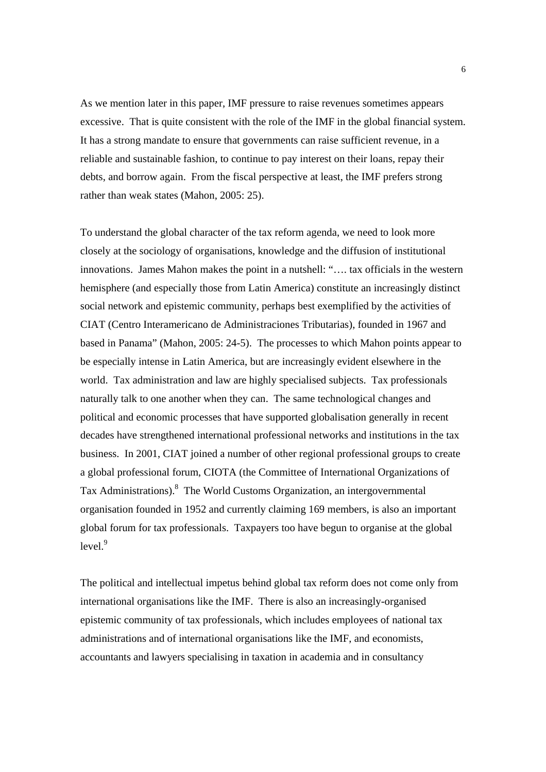As we mention later in this paper, IMF pressure to raise revenues sometimes appears excessive. That is quite consistent with the role of the IMF in the global financial system. It has a strong mandate to ensure that governments can raise sufficient revenue, in a reliable and sustainable fashion, to continue to pay interest on their loans, repay their debts, and borrow again. From the fiscal perspective at least, the IMF prefers strong rather than weak states (Mahon, 2005: 25).

To understand the global character of the tax reform agenda, we need to look more closely at the sociology of organisations, knowledge and the diffusion of institutional innovations. James Mahon makes the point in a nutshell: "…. tax officials in the western hemisphere (and especially those from Latin America) constitute an increasingly distinct social network and epistemic community, perhaps best exemplified by the activities of CIAT (Centro Interamericano de Administraciones Tributarias), founded in 1967 and based in Panama" (Mahon, 2005: 24-5). The processes to which Mahon points appear to be especially intense in Latin America, but are increasingly evident elsewhere in the world. Tax administration and law are highly specialised subjects. Tax professionals naturally talk to one another when they can. The same technological changes and political and economic processes that have supported globalisation generally in recent decades have strengthened international professional networks and institutions in the tax business. In 2001, CIAT joined a number of other regional professional groups to create a global professional forum, CIOTA (the Committee of International Organizations of Tax Administrations).<sup>8</sup> The World Customs Organization, an intergovernmental organisation founded in 1952 and currently claiming 169 members, is also an important global forum for tax professionals. Taxpayers too have begun to organise at the global  $level.<sup>9</sup>$ 

The political and intellectual impetus behind global tax reform does not come only from international organisations like the IMF. There is also an increasingly-organised epistemic community of tax professionals, which includes employees of national tax administrations and of international organisations like the IMF, and economists, accountants and lawyers specialising in taxation in academia and in consultancy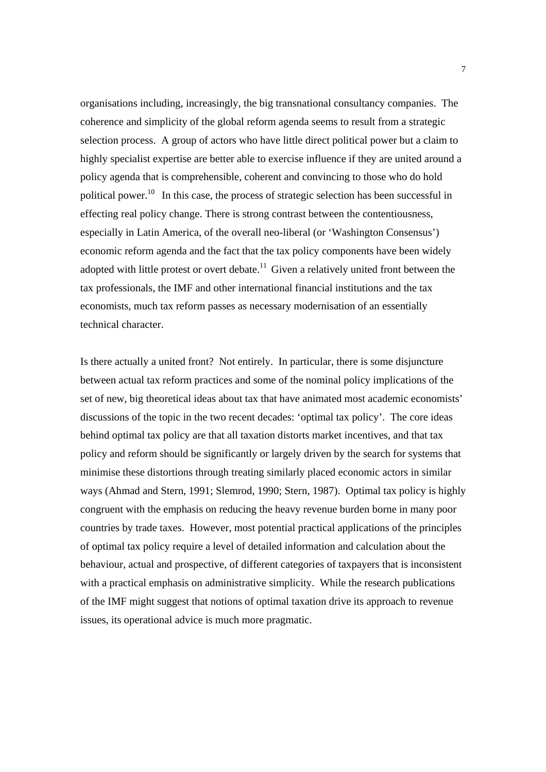organisations including, increasingly, the big transnational consultancy companies. The coherence and simplicity of the global reform agenda seems to result from a strategic selection process. A group of actors who have little direct political power but a claim to highly specialist expertise are better able to exercise influence if they are united around a policy agenda that is comprehensible, coherent and convincing to those who do hold political power.<sup>10</sup> In this case, the process of strategic selection has been successful in effecting real policy change. There is strong contrast between the contentiousness, especially in Latin America, of the overall neo-liberal (or 'Washington Consensus') economic reform agenda and the fact that the tax policy components have been widely adopted with little protest or overt debate.<sup>11</sup> Given a relatively united front between the tax professionals, the IMF and other international financial institutions and the tax economists, much tax reform passes as necessary modernisation of an essentially technical character.

Is there actually a united front? Not entirely. In particular, there is some disjuncture between actual tax reform practices and some of the nominal policy implications of the set of new, big theoretical ideas about tax that have animated most academic economists' discussions of the topic in the two recent decades: 'optimal tax policy'. The core ideas behind optimal tax policy are that all taxation distorts market incentives, and that tax policy and reform should be significantly or largely driven by the search for systems that minimise these distortions through treating similarly placed economic actors in similar ways (Ahmad and Stern, 1991; Slemrod, 1990; Stern, 1987). Optimal tax policy is highly congruent with the emphasis on reducing the heavy revenue burden borne in many poor countries by trade taxes. However, most potential practical applications of the principles of optimal tax policy require a level of detailed information and calculation about the behaviour, actual and prospective, of different categories of taxpayers that is inconsistent with a practical emphasis on administrative simplicity. While the research publications of the IMF might suggest that notions of optimal taxation drive its approach to revenue issues, its operational advice is much more pragmatic.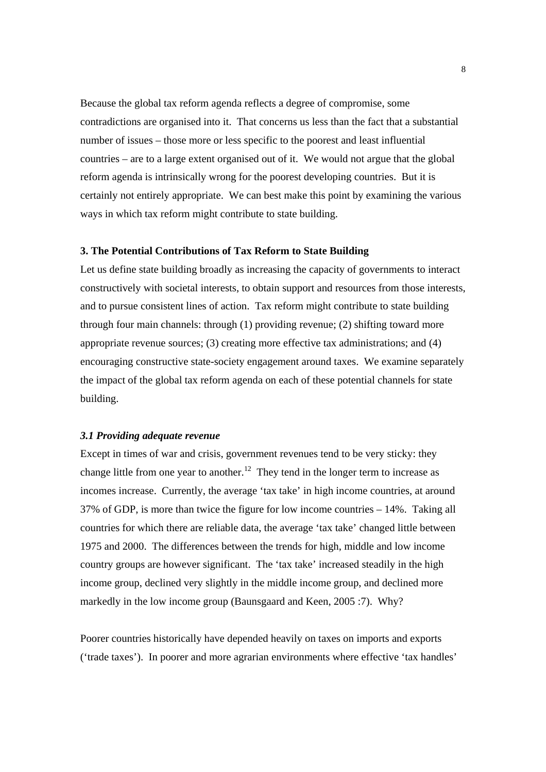Because the global tax reform agenda reflects a degree of compromise, some contradictions are organised into it. That concerns us less than the fact that a substantial number of issues – those more or less specific to the poorest and least influential countries – are to a large extent organised out of it. We would not argue that the global reform agenda is intrinsically wrong for the poorest developing countries. But it is certainly not entirely appropriate. We can best make this point by examining the various ways in which tax reform might contribute to state building.

#### **3. The Potential Contributions of Tax Reform to State Building**

Let us define state building broadly as increasing the capacity of governments to interact constructively with societal interests, to obtain support and resources from those interests, and to pursue consistent lines of action. Tax reform might contribute to state building through four main channels: through (1) providing revenue; (2) shifting toward more appropriate revenue sources; (3) creating more effective tax administrations; and (4) encouraging constructive state-society engagement around taxes. We examine separately the impact of the global tax reform agenda on each of these potential channels for state building.

# *3.1 Providing adequate revenue*

Except in times of war and crisis, government revenues tend to be very sticky: they change little from one year to another.<sup>12</sup> They tend in the longer term to increase as incomes increase. Currently, the average 'tax take' in high income countries, at around 37% of GDP, is more than twice the figure for low income countries – 14%. Taking all countries for which there are reliable data, the average 'tax take' changed little between 1975 and 2000. The differences between the trends for high, middle and low income country groups are however significant. The 'tax take' increased steadily in the high income group, declined very slightly in the middle income group, and declined more markedly in the low income group (Baunsgaard and Keen, 2005 :7). Why?

Poorer countries historically have depended heavily on taxes on imports and exports ('trade taxes'). In poorer and more agrarian environments where effective 'tax handles'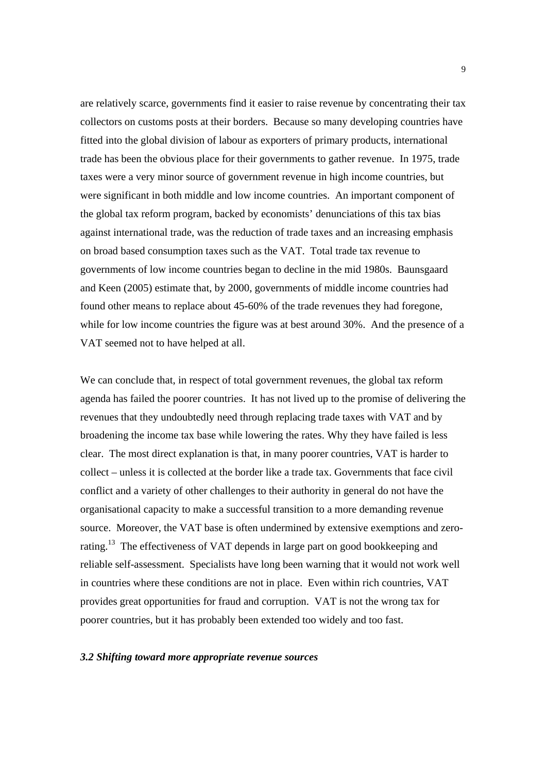are relatively scarce, governments find it easier to raise revenue by concentrating their tax collectors on customs posts at their borders. Because so many developing countries have fitted into the global division of labour as exporters of primary products, international trade has been the obvious place for their governments to gather revenue. In 1975, trade taxes were a very minor source of government revenue in high income countries, but were significant in both middle and low income countries. An important component of the global tax reform program, backed by economists' denunciations of this tax bias against international trade, was the reduction of trade taxes and an increasing emphasis on broad based consumption taxes such as the VAT. Total trade tax revenue to governments of low income countries began to decline in the mid 1980s. Baunsgaard and Keen (2005) estimate that, by 2000, governments of middle income countries had found other means to replace about 45-60% of the trade revenues they had foregone, while for low income countries the figure was at best around 30%. And the presence of a VAT seemed not to have helped at all.

We can conclude that, in respect of total government revenues, the global tax reform agenda has failed the poorer countries. It has not lived up to the promise of delivering the revenues that they undoubtedly need through replacing trade taxes with VAT and by broadening the income tax base while lowering the rates. Why they have failed is less clear. The most direct explanation is that, in many poorer countries, VAT is harder to collect – unless it is collected at the border like a trade tax. Governments that face civil conflict and a variety of other challenges to their authority in general do not have the organisational capacity to make a successful transition to a more demanding revenue source. Moreover, the VAT base is often undermined by extensive exemptions and zerorating.<sup>13</sup> The effectiveness of VAT depends in large part on good bookkeeping and reliable self-assessment. Specialists have long been warning that it would not work well in countries where these conditions are not in place. Even within rich countries, VAT provides great opportunities for fraud and corruption. VAT is not the wrong tax for poorer countries, but it has probably been extended too widely and too fast.

#### *3.2 Shifting toward more appropriate revenue sources*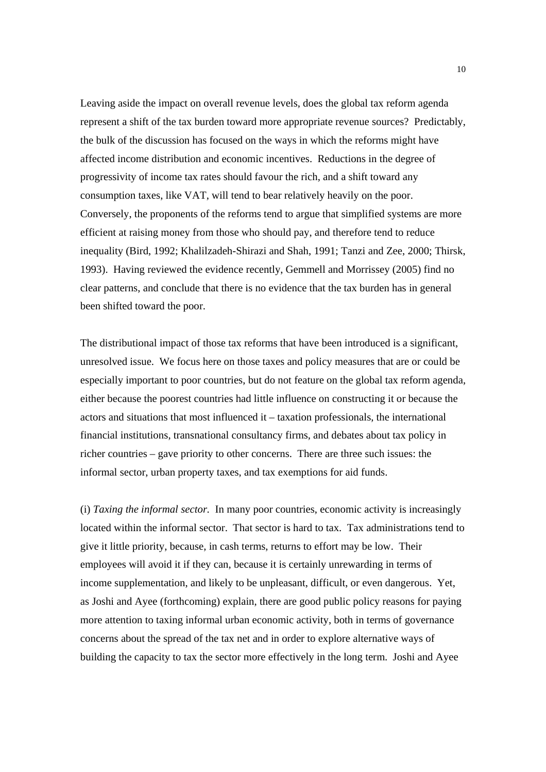Leaving aside the impact on overall revenue levels, does the global tax reform agenda represent a shift of the tax burden toward more appropriate revenue sources? Predictably, the bulk of the discussion has focused on the ways in which the reforms might have affected income distribution and economic incentives. Reductions in the degree of progressivity of income tax rates should favour the rich, and a shift toward any consumption taxes, like VAT, will tend to bear relatively heavily on the poor. Conversely, the proponents of the reforms tend to argue that simplified systems are more efficient at raising money from those who should pay, and therefore tend to reduce inequality (Bird, 1992; Khalilzadeh-Shirazi and Shah, 1991; Tanzi and Zee, 2000; Thirsk, 1993). Having reviewed the evidence recently, Gemmell and Morrissey (2005) find no clear patterns, and conclude that there is no evidence that the tax burden has in general been shifted toward the poor.

The distributional impact of those tax reforms that have been introduced is a significant, unresolved issue. We focus here on those taxes and policy measures that are or could be especially important to poor countries, but do not feature on the global tax reform agenda, either because the poorest countries had little influence on constructing it or because the actors and situations that most influenced it – taxation professionals, the international financial institutions, transnational consultancy firms, and debates about tax policy in richer countries – gave priority to other concerns. There are three such issues: the informal sector, urban property taxes, and tax exemptions for aid funds.

(i) *Taxing the informal sector.* In many poor countries, economic activity is increasingly located within the informal sector. That sector is hard to tax. Tax administrations tend to give it little priority, because, in cash terms, returns to effort may be low. Their employees will avoid it if they can, because it is certainly unrewarding in terms of income supplementation, and likely to be unpleasant, difficult, or even dangerous. Yet, as Joshi and Ayee (forthcoming) explain, there are good public policy reasons for paying more attention to taxing informal urban economic activity, both in terms of governance concerns about the spread of the tax net and in order to explore alternative ways of building the capacity to tax the sector more effectively in the long term. Joshi and Ayee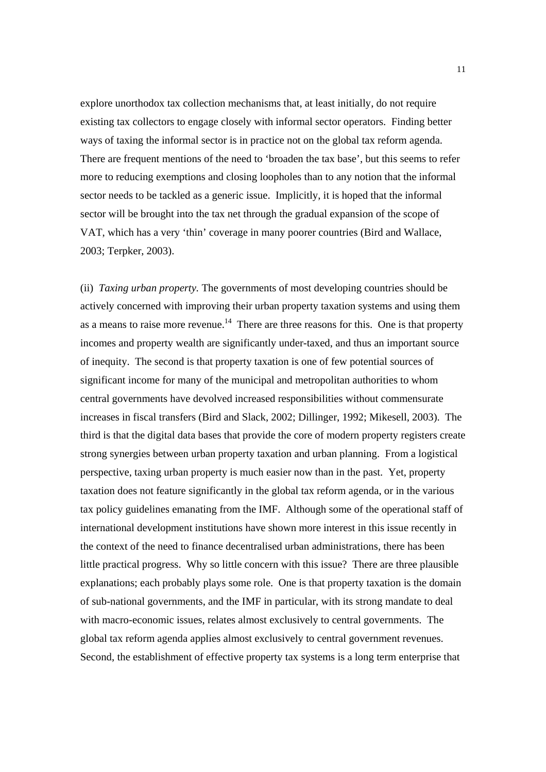explore unorthodox tax collection mechanisms that, at least initially, do not require existing tax collectors to engage closely with informal sector operators. Finding better ways of taxing the informal sector is in practice not on the global tax reform agenda. There are frequent mentions of the need to 'broaden the tax base', but this seems to refer more to reducing exemptions and closing loopholes than to any notion that the informal sector needs to be tackled as a generic issue. Implicitly, it is hoped that the informal sector will be brought into the tax net through the gradual expansion of the scope of VAT, which has a very 'thin' coverage in many poorer countries (Bird and Wallace, 2003; Terpker, 2003).

(ii) *Taxing urban property.* The governments of most developing countries should be actively concerned with improving their urban property taxation systems and using them as a means to raise more revenue.<sup>14</sup> There are three reasons for this. One is that property incomes and property wealth are significantly under-taxed, and thus an important source of inequity. The second is that property taxation is one of few potential sources of significant income for many of the municipal and metropolitan authorities to whom central governments have devolved increased responsibilities without commensurate increases in fiscal transfers (Bird and Slack, 2002; Dillinger, 1992; Mikesell, 2003). The third is that the digital data bases that provide the core of modern property registers create strong synergies between urban property taxation and urban planning. From a logistical perspective, taxing urban property is much easier now than in the past. Yet, property taxation does not feature significantly in the global tax reform agenda, or in the various tax policy guidelines emanating from the IMF. Although some of the operational staff of international development institutions have shown more interest in this issue recently in the context of the need to finance decentralised urban administrations, there has been little practical progress. Why so little concern with this issue? There are three plausible explanations; each probably plays some role. One is that property taxation is the domain of sub-national governments, and the IMF in particular, with its strong mandate to deal with macro-economic issues, relates almost exclusively to central governments. The global tax reform agenda applies almost exclusively to central government revenues. Second, the establishment of effective property tax systems is a long term enterprise that

11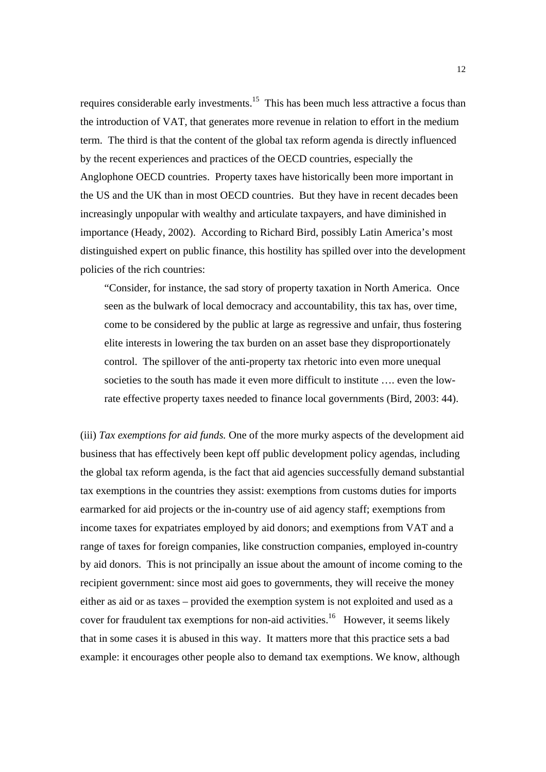requires considerable early investments.<sup>15</sup> This has been much less attractive a focus than the introduction of VAT, that generates more revenue in relation to effort in the medium term. The third is that the content of the global tax reform agenda is directly influenced by the recent experiences and practices of the OECD countries, especially the Anglophone OECD countries. Property taxes have historically been more important in the US and the UK than in most OECD countries. But they have in recent decades been increasingly unpopular with wealthy and articulate taxpayers, and have diminished in importance (Heady, 2002). According to Richard Bird, possibly Latin America's most distinguished expert on public finance, this hostility has spilled over into the development policies of the rich countries:

"Consider, for instance, the sad story of property taxation in North America. Once seen as the bulwark of local democracy and accountability, this tax has, over time, come to be considered by the public at large as regressive and unfair, thus fostering elite interests in lowering the tax burden on an asset base they disproportionately control. The spillover of the anti-property tax rhetoric into even more unequal societies to the south has made it even more difficult to institute …. even the lowrate effective property taxes needed to finance local governments (Bird, 2003: 44).

(iii) *Tax exemptions for aid funds.* One of the more murky aspects of the development aid business that has effectively been kept off public development policy agendas, including the global tax reform agenda, is the fact that aid agencies successfully demand substantial tax exemptions in the countries they assist: exemptions from customs duties for imports earmarked for aid projects or the in-country use of aid agency staff; exemptions from income taxes for expatriates employed by aid donors; and exemptions from VAT and a range of taxes for foreign companies, like construction companies, employed in-country by aid donors. This is not principally an issue about the amount of income coming to the recipient government: since most aid goes to governments, they will receive the money either as aid or as taxes – provided the exemption system is not exploited and used as a cover for fraudulent tax exemptions for non-aid activities.<sup>16</sup> However, it seems likely that in some cases it is abused in this way. It matters more that this practice sets a bad example: it encourages other people also to demand tax exemptions. We know, although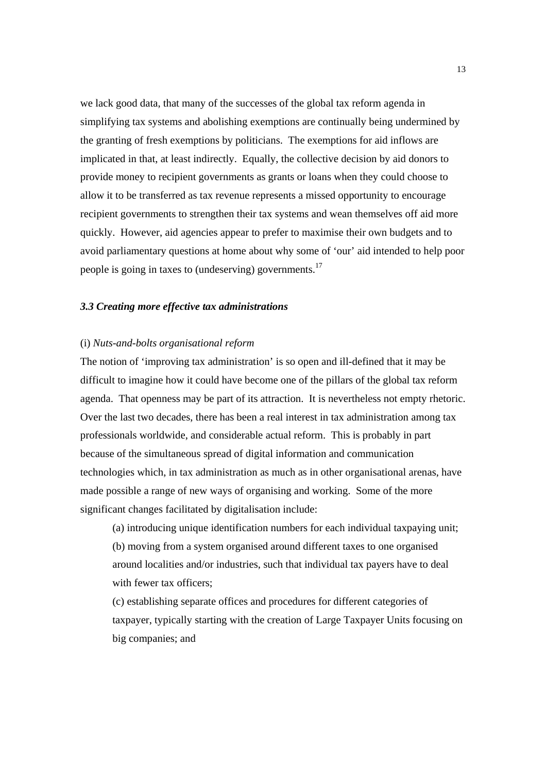we lack good data, that many of the successes of the global tax reform agenda in simplifying tax systems and abolishing exemptions are continually being undermined by the granting of fresh exemptions by politicians. The exemptions for aid inflows are implicated in that, at least indirectly. Equally, the collective decision by aid donors to provide money to recipient governments as grants or loans when they could choose to allow it to be transferred as tax revenue represents a missed opportunity to encourage recipient governments to strengthen their tax systems and wean themselves off aid more quickly. However, aid agencies appear to prefer to maximise their own budgets and to avoid parliamentary questions at home about why some of 'our' aid intended to help poor people is going in taxes to (undeserving) governments.<sup>17</sup>

#### *3.3 Creating more effective tax administrations*

# (i) *Nuts-and-bolts organisational reform*

The notion of 'improving tax administration' is so open and ill-defined that it may be difficult to imagine how it could have become one of the pillars of the global tax reform agenda. That openness may be part of its attraction. It is nevertheless not empty rhetoric. Over the last two decades, there has been a real interest in tax administration among tax professionals worldwide, and considerable actual reform. This is probably in part because of the simultaneous spread of digital information and communication technologies which, in tax administration as much as in other organisational arenas, have made possible a range of new ways of organising and working. Some of the more significant changes facilitated by digitalisation include:

(a) introducing unique identification numbers for each individual taxpaying unit; (b) moving from a system organised around different taxes to one organised around localities and/or industries, such that individual tax payers have to deal with fewer tax officers;

(c) establishing separate offices and procedures for different categories of taxpayer, typically starting with the creation of Large Taxpayer Units focusing on big companies; and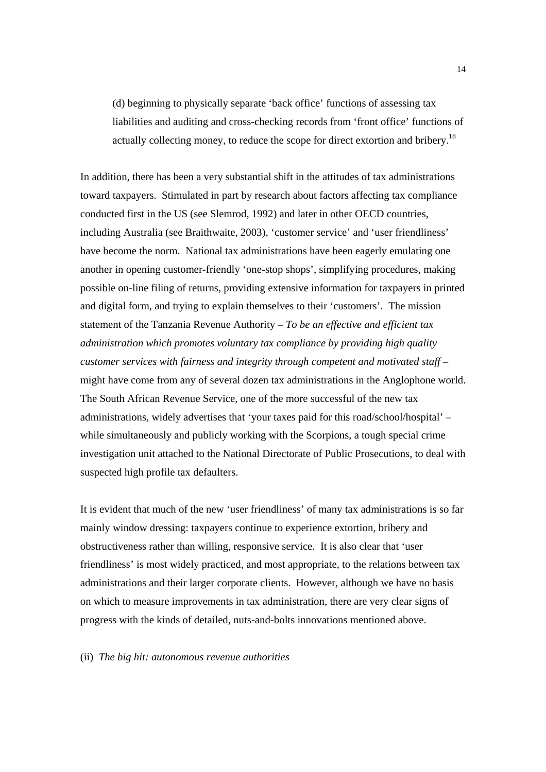(d) beginning to physically separate 'back office' functions of assessing tax liabilities and auditing and cross-checking records from 'front office' functions of actually collecting money, to reduce the scope for direct extortion and bribery.<sup>18</sup>

In addition, there has been a very substantial shift in the attitudes of tax administrations toward taxpayers. Stimulated in part by research about factors affecting tax compliance conducted first in the US (see Slemrod, 1992) and later in other OECD countries, including Australia (see Braithwaite, 2003), 'customer service' and 'user friendliness' have become the norm. National tax administrations have been eagerly emulating one another in opening customer-friendly 'one-stop shops', simplifying procedures, making possible on-line filing of returns, providing extensive information for taxpayers in printed and digital form, and trying to explain themselves to their 'customers'. The mission statement of the Tanzania Revenue Authority – *To be an effective and efficient tax administration which promotes voluntary tax compliance by providing high quality customer services with fairness and integrity through competent and motivated staff* – might have come from any of several dozen tax administrations in the Anglophone world. The South African Revenue Service, one of the more successful of the new tax administrations, widely advertises that 'your taxes paid for this road/school/hospital' – while simultaneously and publicly working with the Scorpions, a tough special crime investigation unit attached to the National Directorate of Public Prosecutions, to deal with suspected high profile tax defaulters.

It is evident that much of the new 'user friendliness' of many tax administrations is so far mainly window dressing: taxpayers continue to experience extortion, bribery and obstructiveness rather than willing, responsive service. It is also clear that 'user friendliness' is most widely practiced, and most appropriate, to the relations between tax administrations and their larger corporate clients. However, although we have no basis on which to measure improvements in tax administration, there are very clear signs of progress with the kinds of detailed, nuts-and-bolts innovations mentioned above.

#### (ii) *The big hit: autonomous revenue authorities*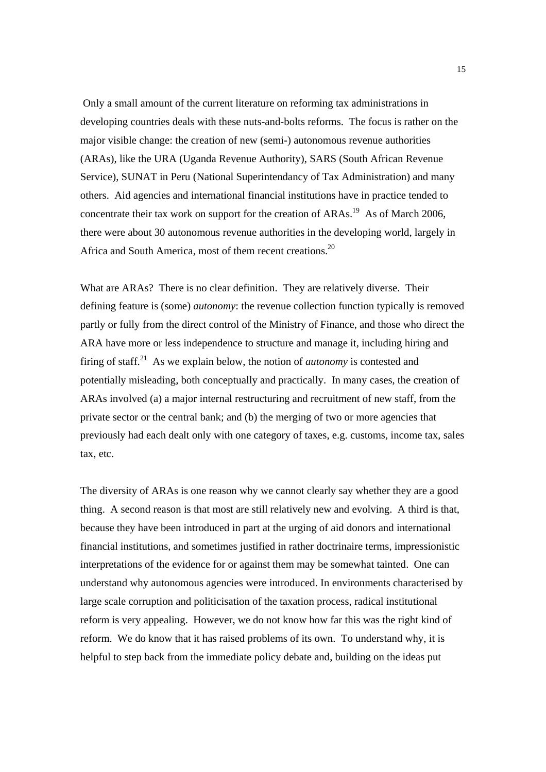Only a small amount of the current literature on reforming tax administrations in developing countries deals with these nuts-and-bolts reforms. The focus is rather on the major visible change: the creation of new (semi-) autonomous revenue authorities (ARAs), like the URA (Uganda Revenue Authority), SARS (South African Revenue Service), SUNAT in Peru (National Superintendancy of Tax Administration) and many others. Aid agencies and international financial institutions have in practice tended to concentrate their tax work on support for the creation of  $ARAs$ <sup>19</sup> As of March 2006, there were about 30 autonomous revenue authorities in the developing world, largely in Africa and South America, most of them recent creations.20

What are ARAs? There is no clear definition. They are relatively diverse. Their defining feature is (some) *autonomy*: the revenue collection function typically is removed partly or fully from the direct control of the Ministry of Finance, and those who direct the ARA have more or less independence to structure and manage it, including hiring and firing of staff.21 As we explain below, the notion of *autonomy* is contested and potentially misleading, both conceptually and practically. In many cases, the creation of ARAs involved (a) a major internal restructuring and recruitment of new staff, from the private sector or the central bank; and (b) the merging of two or more agencies that previously had each dealt only with one category of taxes, e.g. customs, income tax, sales tax, etc.

The diversity of ARAs is one reason why we cannot clearly say whether they are a good thing. A second reason is that most are still relatively new and evolving. A third is that, because they have been introduced in part at the urging of aid donors and international financial institutions, and sometimes justified in rather doctrinaire terms, impressionistic interpretations of the evidence for or against them may be somewhat tainted. One can understand why autonomous agencies were introduced. In environments characterised by large scale corruption and politicisation of the taxation process, radical institutional reform is very appealing. However, we do not know how far this was the right kind of reform. We do know that it has raised problems of its own. To understand why, it is helpful to step back from the immediate policy debate and, building on the ideas put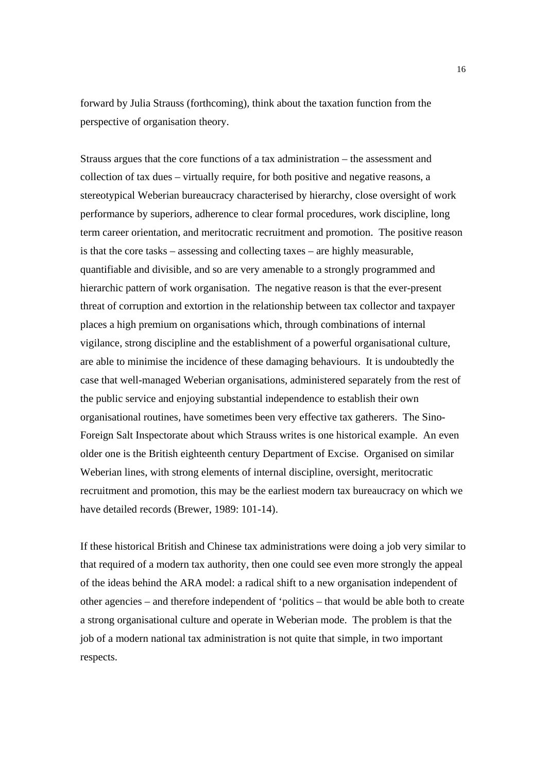forward by Julia Strauss (forthcoming), think about the taxation function from the perspective of organisation theory.

Strauss argues that the core functions of a tax administration – the assessment and collection of tax dues – virtually require, for both positive and negative reasons, a stereotypical Weberian bureaucracy characterised by hierarchy, close oversight of work performance by superiors, adherence to clear formal procedures, work discipline, long term career orientation, and meritocratic recruitment and promotion. The positive reason is that the core tasks – assessing and collecting taxes – are highly measurable, quantifiable and divisible, and so are very amenable to a strongly programmed and hierarchic pattern of work organisation. The negative reason is that the ever-present threat of corruption and extortion in the relationship between tax collector and taxpayer places a high premium on organisations which, through combinations of internal vigilance, strong discipline and the establishment of a powerful organisational culture, are able to minimise the incidence of these damaging behaviours. It is undoubtedly the case that well-managed Weberian organisations, administered separately from the rest of the public service and enjoying substantial independence to establish their own organisational routines, have sometimes been very effective tax gatherers. The Sino-Foreign Salt Inspectorate about which Strauss writes is one historical example. An even older one is the British eighteenth century Department of Excise. Organised on similar Weberian lines, with strong elements of internal discipline, oversight, meritocratic recruitment and promotion, this may be the earliest modern tax bureaucracy on which we have detailed records (Brewer, 1989: 101-14).

If these historical British and Chinese tax administrations were doing a job very similar to that required of a modern tax authority, then one could see even more strongly the appeal of the ideas behind the ARA model: a radical shift to a new organisation independent of other agencies – and therefore independent of 'politics – that would be able both to create a strong organisational culture and operate in Weberian mode. The problem is that the job of a modern national tax administration is not quite that simple, in two important respects.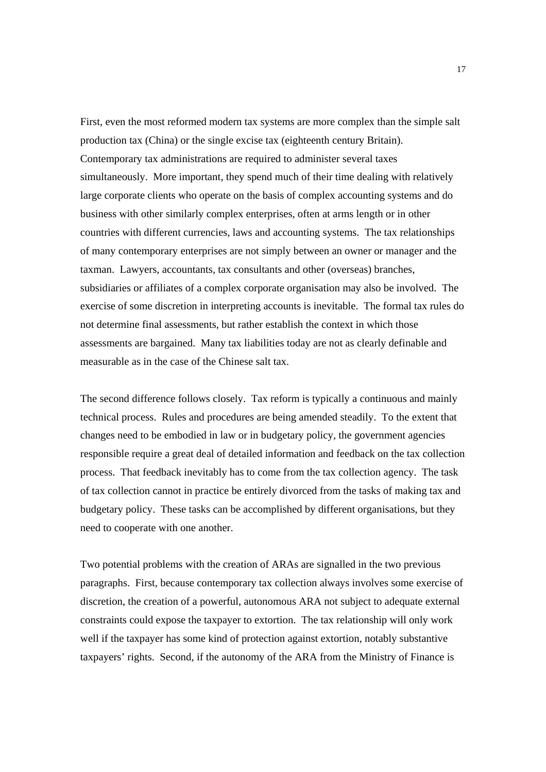First, even the most reformed modern tax systems are more complex than the simple salt production tax (China) or the single excise tax (eighteenth century Britain). Contemporary tax administrations are required to administer several taxes simultaneously. More important, they spend much of their time dealing with relatively large corporate clients who operate on the basis of complex accounting systems and do business with other similarly complex enterprises, often at arms length or in other countries with different currencies, laws and accounting systems. The tax relationships of many contemporary enterprises are not simply between an owner or manager and the taxman. Lawyers, accountants, tax consultants and other (overseas) branches, subsidiaries or affiliates of a complex corporate organisation may also be involved. The exercise of some discretion in interpreting accounts is inevitable. The formal tax rules do not determine final assessments, but rather establish the context in which those assessments are bargained. Many tax liabilities today are not as clearly definable and measurable as in the case of the Chinese salt tax.

The second difference follows closely. Tax reform is typically a continuous and mainly technical process. Rules and procedures are being amended steadily. To the extent that changes need to be embodied in law or in budgetary policy, the government agencies responsible require a great deal of detailed information and feedback on the tax collection process. That feedback inevitably has to come from the tax collection agency. The task of tax collection cannot in practice be entirely divorced from the tasks of making tax and budgetary policy. These tasks can be accomplished by different organisations, but they need to cooperate with one another.

Two potential problems with the creation of ARAs are signalled in the two previous paragraphs. First, because contemporary tax collection always involves some exercise of discretion, the creation of a powerful, autonomous ARA not subject to adequate external constraints could expose the taxpayer to extortion. The tax relationship will only work well if the taxpayer has some kind of protection against extortion, notably substantive taxpayers' rights. Second, if the autonomy of the ARA from the Ministry of Finance is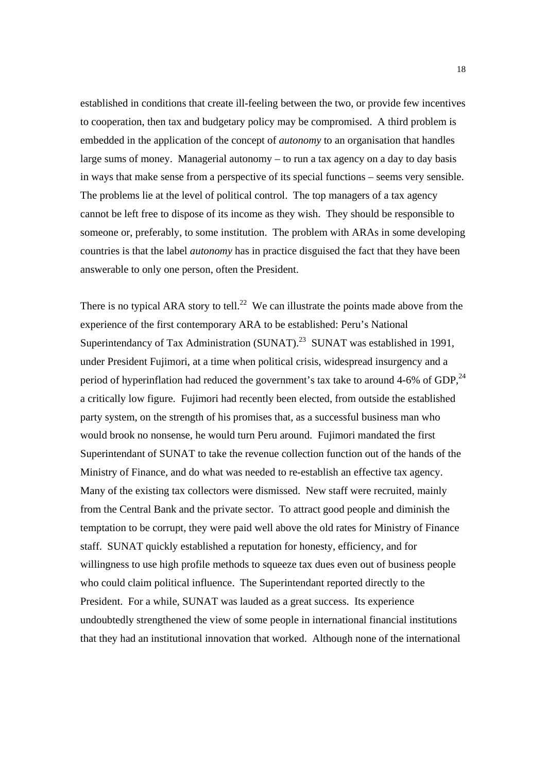established in conditions that create ill-feeling between the two, or provide few incentives to cooperation, then tax and budgetary policy may be compromised. A third problem is embedded in the application of the concept of *autonomy* to an organisation that handles large sums of money. Managerial autonomy  $-$  to run a tax agency on a day to day basis in ways that make sense from a perspective of its special functions – seems very sensible. The problems lie at the level of political control. The top managers of a tax agency cannot be left free to dispose of its income as they wish. They should be responsible to someone or, preferably, to some institution. The problem with ARAs in some developing countries is that the label *autonomy* has in practice disguised the fact that they have been answerable to only one person, often the President.

There is no typical ARA story to tell.<sup>22</sup> We can illustrate the points made above from the experience of the first contemporary ARA to be established: Peru's National Superintendancy of Tax Administration (SUNAT).<sup>23</sup> SUNAT was established in 1991, under President Fujimori, at a time when political crisis, widespread insurgency and a period of hyperinflation had reduced the government's tax take to around 4-6% of GDP.<sup>24</sup> a critically low figure. Fujimori had recently been elected, from outside the established party system, on the strength of his promises that, as a successful business man who would brook no nonsense, he would turn Peru around. Fujimori mandated the first Superintendant of SUNAT to take the revenue collection function out of the hands of the Ministry of Finance, and do what was needed to re-establish an effective tax agency. Many of the existing tax collectors were dismissed. New staff were recruited, mainly from the Central Bank and the private sector. To attract good people and diminish the temptation to be corrupt, they were paid well above the old rates for Ministry of Finance staff. SUNAT quickly established a reputation for honesty, efficiency, and for willingness to use high profile methods to squeeze tax dues even out of business people who could claim political influence. The Superintendant reported directly to the President. For a while, SUNAT was lauded as a great success. Its experience undoubtedly strengthened the view of some people in international financial institutions that they had an institutional innovation that worked. Although none of the international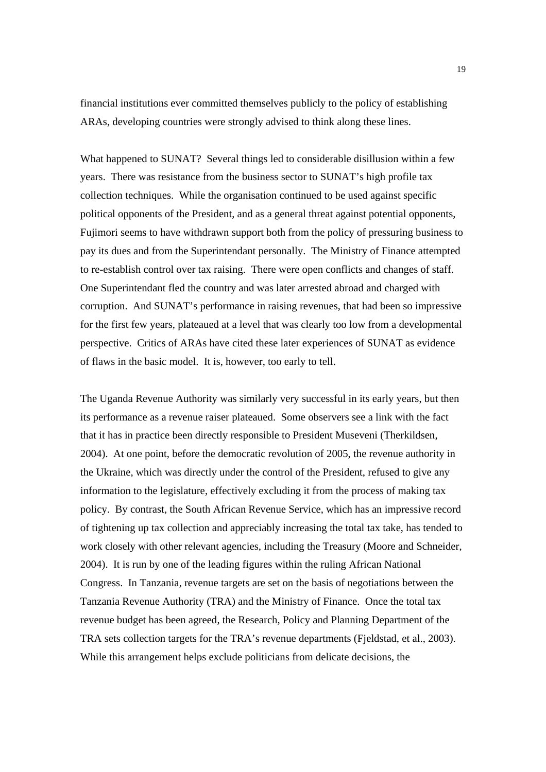financial institutions ever committed themselves publicly to the policy of establishing ARAs, developing countries were strongly advised to think along these lines.

What happened to SUNAT? Several things led to considerable disillusion within a few years. There was resistance from the business sector to SUNAT's high profile tax collection techniques. While the organisation continued to be used against specific political opponents of the President, and as a general threat against potential opponents, Fujimori seems to have withdrawn support both from the policy of pressuring business to pay its dues and from the Superintendant personally. The Ministry of Finance attempted to re-establish control over tax raising. There were open conflicts and changes of staff. One Superintendant fled the country and was later arrested abroad and charged with corruption. And SUNAT's performance in raising revenues, that had been so impressive for the first few years, plateaued at a level that was clearly too low from a developmental perspective. Critics of ARAs have cited these later experiences of SUNAT as evidence of flaws in the basic model. It is, however, too early to tell.

The Uganda Revenue Authority was similarly very successful in its early years, but then its performance as a revenue raiser plateaued. Some observers see a link with the fact that it has in practice been directly responsible to President Museveni (Therkildsen, 2004). At one point, before the democratic revolution of 2005, the revenue authority in the Ukraine, which was directly under the control of the President, refused to give any information to the legislature, effectively excluding it from the process of making tax policy. By contrast, the South African Revenue Service, which has an impressive record of tightening up tax collection and appreciably increasing the total tax take, has tended to work closely with other relevant agencies, including the Treasury (Moore and Schneider, 2004). It is run by one of the leading figures within the ruling African National Congress. In Tanzania, revenue targets are set on the basis of negotiations between the Tanzania Revenue Authority (TRA) and the Ministry of Finance. Once the total tax revenue budget has been agreed, the Research, Policy and Planning Department of the TRA sets collection targets for the TRA's revenue departments (Fjeldstad, et al., 2003). While this arrangement helps exclude politicians from delicate decisions, the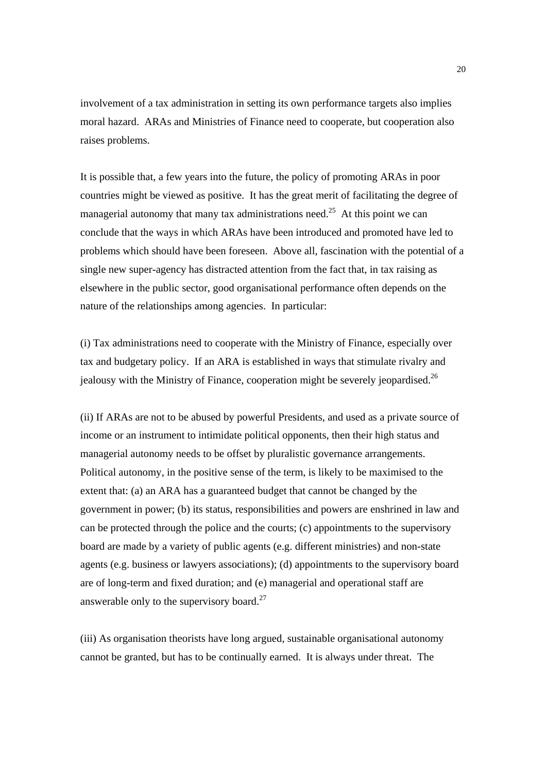involvement of a tax administration in setting its own performance targets also implies moral hazard. ARAs and Ministries of Finance need to cooperate, but cooperation also raises problems.

It is possible that, a few years into the future, the policy of promoting ARAs in poor countries might be viewed as positive. It has the great merit of facilitating the degree of managerial autonomy that many tax administrations need.<sup>25</sup> At this point we can conclude that the ways in which ARAs have been introduced and promoted have led to problems which should have been foreseen. Above all, fascination with the potential of a single new super-agency has distracted attention from the fact that, in tax raising as elsewhere in the public sector, good organisational performance often depends on the nature of the relationships among agencies. In particular:

(i) Tax administrations need to cooperate with the Ministry of Finance, especially over tax and budgetary policy. If an ARA is established in ways that stimulate rivalry and jealousy with the Ministry of Finance, cooperation might be severely jeopardised.26

(ii) If ARAs are not to be abused by powerful Presidents, and used as a private source of income or an instrument to intimidate political opponents, then their high status and managerial autonomy needs to be offset by pluralistic governance arrangements. Political autonomy, in the positive sense of the term, is likely to be maximised to the extent that: (a) an ARA has a guaranteed budget that cannot be changed by the government in power; (b) its status, responsibilities and powers are enshrined in law and can be protected through the police and the courts; (c) appointments to the supervisory board are made by a variety of public agents (e.g. different ministries) and non-state agents (e.g. business or lawyers associations); (d) appointments to the supervisory board are of long-term and fixed duration; and (e) managerial and operational staff are answerable only to the supervisory board. $27$ 

(iii) As organisation theorists have long argued, sustainable organisational autonomy cannot be granted, but has to be continually earned. It is always under threat. The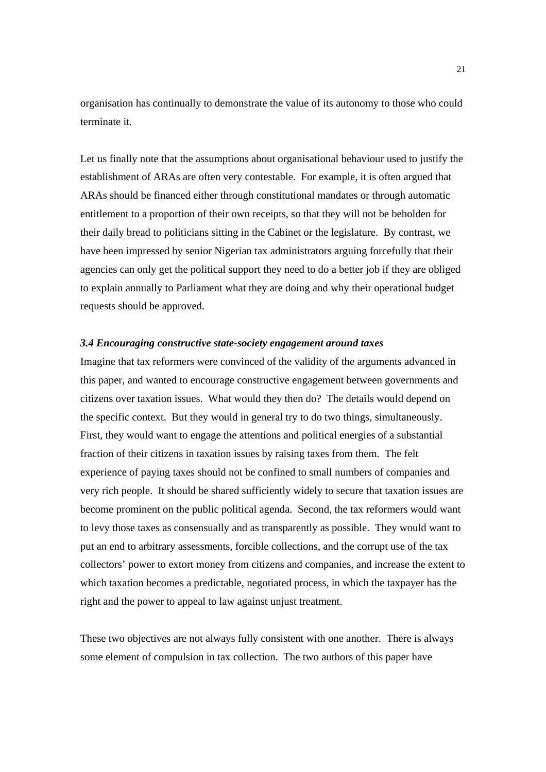organisation has continually to demonstrate the value of its autonomy to those who could terminate it.

Let us finally note that the assumptions about organisational behaviour used to justify the establishment of ARAs are often very contestable. For example, it is often argued that ARAs should be financed either through constitutional mandates or through automatic entitlement to a proportion of their own receipts, so that they will not be beholden for their daily bread to politicians sitting in the Cabinet or the legislature. By contrast, we have been impressed by senior Nigerian tax administrators arguing forcefully that their agencies can only get the political support they need to do a better job if they are obliged to explain annually to Parliament what they are doing and why their operational budget requests should be approved.

## *3.4 Encouraging constructive state-society engagement around taxes*

Imagine that tax reformers were convinced of the validity of the arguments advanced in this paper, and wanted to encourage constructive engagement between governments and citizens over taxation issues. What would they then do? The details would depend on the specific context. But they would in general try to do two things, simultaneously. First, they would want to engage the attentions and political energies of a substantial fraction of their citizens in taxation issues by raising taxes from them. The felt experience of paying taxes should not be confined to small numbers of companies and very rich people. It should be shared sufficiently widely to secure that taxation issues are become prominent on the public political agenda. Second, the tax reformers would want to levy those taxes as consensually and as transparently as possible. They would want to put an end to arbitrary assessments, forcible collections, and the corrupt use of the tax collectors' power to extort money from citizens and companies, and increase the extent to which taxation becomes a predictable, negotiated process, in which the taxpayer has the right and the power to appeal to law against unjust treatment.

These two objectives are not always fully consistent with one another. There is always some element of compulsion in tax collection. The two authors of this paper have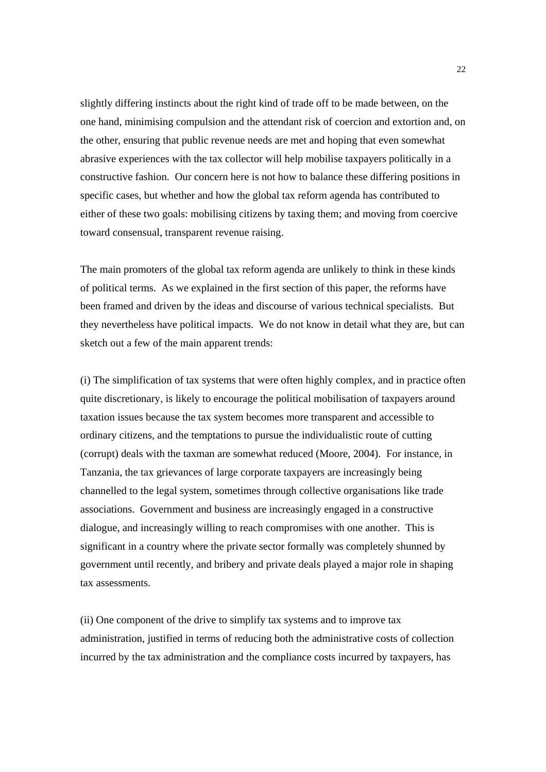slightly differing instincts about the right kind of trade off to be made between, on the one hand, minimising compulsion and the attendant risk of coercion and extortion and, on the other, ensuring that public revenue needs are met and hoping that even somewhat abrasive experiences with the tax collector will help mobilise taxpayers politically in a constructive fashion. Our concern here is not how to balance these differing positions in specific cases, but whether and how the global tax reform agenda has contributed to either of these two goals: mobilising citizens by taxing them; and moving from coercive toward consensual, transparent revenue raising.

The main promoters of the global tax reform agenda are unlikely to think in these kinds of political terms. As we explained in the first section of this paper, the reforms have been framed and driven by the ideas and discourse of various technical specialists. But they nevertheless have political impacts. We do not know in detail what they are, but can sketch out a few of the main apparent trends:

(i) The simplification of tax systems that were often highly complex, and in practice often quite discretionary, is likely to encourage the political mobilisation of taxpayers around taxation issues because the tax system becomes more transparent and accessible to ordinary citizens, and the temptations to pursue the individualistic route of cutting (corrupt) deals with the taxman are somewhat reduced (Moore, 2004). For instance, in Tanzania, the tax grievances of large corporate taxpayers are increasingly being channelled to the legal system, sometimes through collective organisations like trade associations. Government and business are increasingly engaged in a constructive dialogue, and increasingly willing to reach compromises with one another. This is significant in a country where the private sector formally was completely shunned by government until recently, and bribery and private deals played a major role in shaping tax assessments.

(ii) One component of the drive to simplify tax systems and to improve tax administration, justified in terms of reducing both the administrative costs of collection incurred by the tax administration and the compliance costs incurred by taxpayers, has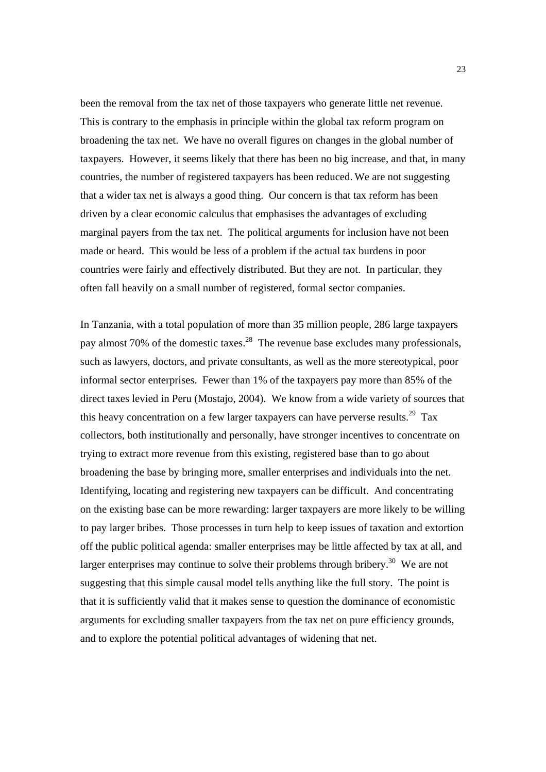been the removal from the tax net of those taxpayers who generate little net revenue. This is contrary to the emphasis in principle within the global tax reform program on broadening the tax net. We have no overall figures on changes in the global number of taxpayers. However, it seems likely that there has been no big increase, and that, in many countries, the number of registered taxpayers has been reduced. We are not suggesting that a wider tax net is always a good thing. Our concern is that tax reform has been driven by a clear economic calculus that emphasises the advantages of excluding marginal payers from the tax net. The political arguments for inclusion have not been made or heard. This would be less of a problem if the actual tax burdens in poor countries were fairly and effectively distributed. But they are not. In particular, they often fall heavily on a small number of registered, formal sector companies.

In Tanzania, with a total population of more than 35 million people, 286 large taxpayers pay almost 70% of the domestic taxes.<sup>28</sup> The revenue base excludes many professionals, such as lawyers, doctors, and private consultants, as well as the more stereotypical, poor informal sector enterprises. Fewer than 1% of the taxpayers pay more than 85% of the direct taxes levied in Peru (Mostajo, 2004). We know from a wide variety of sources that this heavy concentration on a few larger taxpayers can have perverse results.<sup>29</sup> Tax collectors, both institutionally and personally, have stronger incentives to concentrate on trying to extract more revenue from this existing, registered base than to go about broadening the base by bringing more, smaller enterprises and individuals into the net. Identifying, locating and registering new taxpayers can be difficult. And concentrating on the existing base can be more rewarding: larger taxpayers are more likely to be willing to pay larger bribes. Those processes in turn help to keep issues of taxation and extortion off the public political agenda: smaller enterprises may be little affected by tax at all, and larger enterprises may continue to solve their problems through bribery.<sup>30</sup> We are not suggesting that this simple causal model tells anything like the full story. The point is that it is sufficiently valid that it makes sense to question the dominance of economistic arguments for excluding smaller taxpayers from the tax net on pure efficiency grounds, and to explore the potential political advantages of widening that net.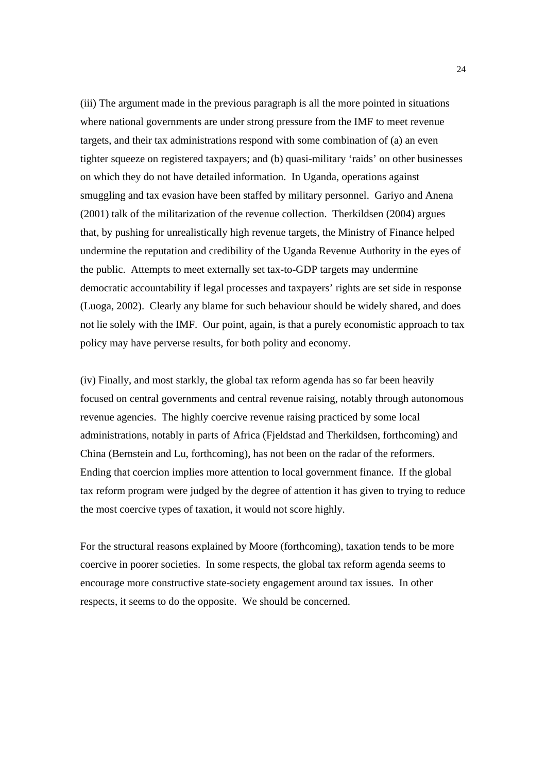(iii) The argument made in the previous paragraph is all the more pointed in situations where national governments are under strong pressure from the IMF to meet revenue targets, and their tax administrations respond with some combination of (a) an even tighter squeeze on registered taxpayers; and (b) quasi-military 'raids' on other businesses on which they do not have detailed information. In Uganda, operations against smuggling and tax evasion have been staffed by military personnel. Gariyo and Anena (2001) talk of the militarization of the revenue collection. Therkildsen (2004) argues that, by pushing for unrealistically high revenue targets, the Ministry of Finance helped undermine the reputation and credibility of the Uganda Revenue Authority in the eyes of the public. Attempts to meet externally set tax-to-GDP targets may undermine democratic accountability if legal processes and taxpayers' rights are set side in response (Luoga, 2002). Clearly any blame for such behaviour should be widely shared, and does not lie solely with the IMF. Our point, again, is that a purely economistic approach to tax policy may have perverse results, for both polity and economy.

(iv) Finally, and most starkly, the global tax reform agenda has so far been heavily focused on central governments and central revenue raising, notably through autonomous revenue agencies. The highly coercive revenue raising practiced by some local administrations, notably in parts of Africa (Fjeldstad and Therkildsen, forthcoming) and China (Bernstein and Lu, forthcoming), has not been on the radar of the reformers. Ending that coercion implies more attention to local government finance. If the global tax reform program were judged by the degree of attention it has given to trying to reduce the most coercive types of taxation, it would not score highly.

For the structural reasons explained by Moore (forthcoming), taxation tends to be more coercive in poorer societies. In some respects, the global tax reform agenda seems to encourage more constructive state-society engagement around tax issues. In other respects, it seems to do the opposite. We should be concerned.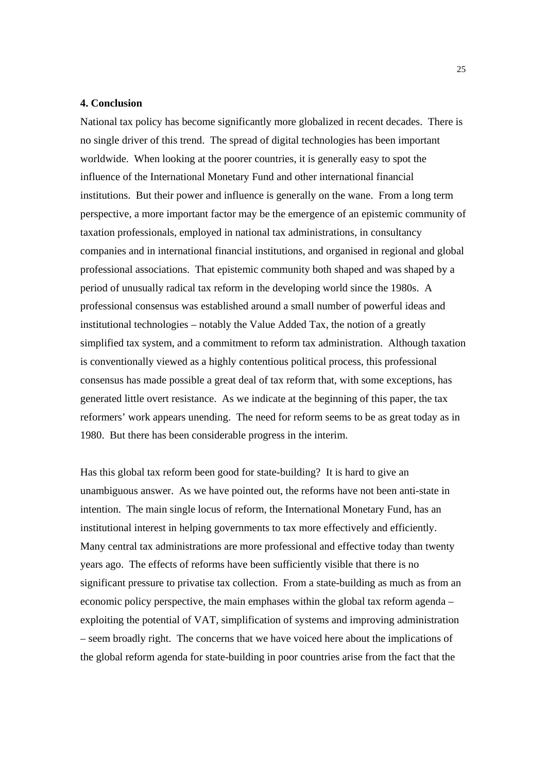#### **4. Conclusion**

National tax policy has become significantly more globalized in recent decades. There is no single driver of this trend. The spread of digital technologies has been important worldwide. When looking at the poorer countries, it is generally easy to spot the influence of the International Monetary Fund and other international financial institutions. But their power and influence is generally on the wane. From a long term perspective, a more important factor may be the emergence of an epistemic community of taxation professionals, employed in national tax administrations, in consultancy companies and in international financial institutions, and organised in regional and global professional associations. That epistemic community both shaped and was shaped by a period of unusually radical tax reform in the developing world since the 1980s. A professional consensus was established around a small number of powerful ideas and institutional technologies – notably the Value Added Tax, the notion of a greatly simplified tax system, and a commitment to reform tax administration. Although taxation is conventionally viewed as a highly contentious political process, this professional consensus has made possible a great deal of tax reform that, with some exceptions, has generated little overt resistance. As we indicate at the beginning of this paper, the tax reformers' work appears unending. The need for reform seems to be as great today as in 1980. But there has been considerable progress in the interim.

Has this global tax reform been good for state-building? It is hard to give an unambiguous answer. As we have pointed out, the reforms have not been anti-state in intention. The main single locus of reform, the International Monetary Fund, has an institutional interest in helping governments to tax more effectively and efficiently. Many central tax administrations are more professional and effective today than twenty years ago. The effects of reforms have been sufficiently visible that there is no significant pressure to privatise tax collection. From a state-building as much as from an economic policy perspective, the main emphases within the global tax reform agenda – exploiting the potential of VAT, simplification of systems and improving administration – seem broadly right. The concerns that we have voiced here about the implications of the global reform agenda for state-building in poor countries arise from the fact that the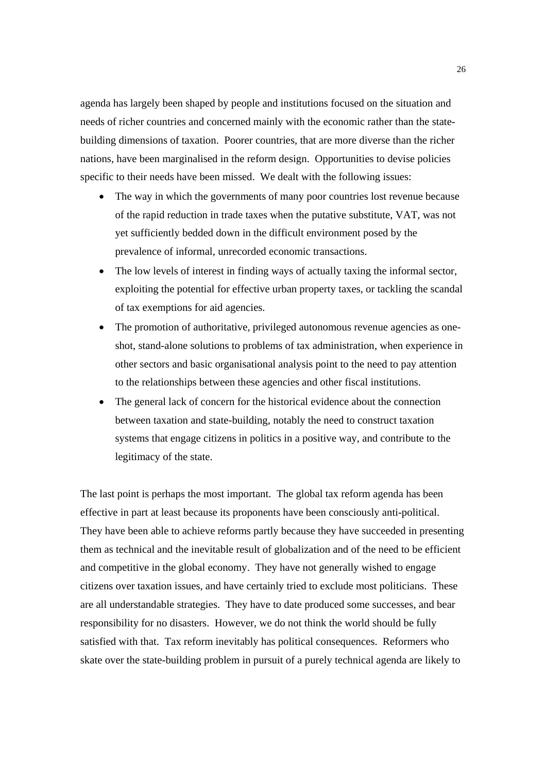agenda has largely been shaped by people and institutions focused on the situation and needs of richer countries and concerned mainly with the economic rather than the statebuilding dimensions of taxation. Poorer countries, that are more diverse than the richer nations, have been marginalised in the reform design. Opportunities to devise policies specific to their needs have been missed. We dealt with the following issues:

- The way in which the governments of many poor countries lost revenue because of the rapid reduction in trade taxes when the putative substitute, VAT, was not yet sufficiently bedded down in the difficult environment posed by the prevalence of informal, unrecorded economic transactions.
- The low levels of interest in finding ways of actually taxing the informal sector, exploiting the potential for effective urban property taxes, or tackling the scandal of tax exemptions for aid agencies.
- The promotion of authoritative, privileged autonomous revenue agencies as oneshot, stand-alone solutions to problems of tax administration, when experience in other sectors and basic organisational analysis point to the need to pay attention to the relationships between these agencies and other fiscal institutions.
- The general lack of concern for the historical evidence about the connection between taxation and state-building, notably the need to construct taxation systems that engage citizens in politics in a positive way, and contribute to the legitimacy of the state.

The last point is perhaps the most important. The global tax reform agenda has been effective in part at least because its proponents have been consciously anti-political. They have been able to achieve reforms partly because they have succeeded in presenting them as technical and the inevitable result of globalization and of the need to be efficient and competitive in the global economy. They have not generally wished to engage citizens over taxation issues, and have certainly tried to exclude most politicians. These are all understandable strategies. They have to date produced some successes, and bear responsibility for no disasters. However, we do not think the world should be fully satisfied with that. Tax reform inevitably has political consequences. Reformers who skate over the state-building problem in pursuit of a purely technical agenda are likely to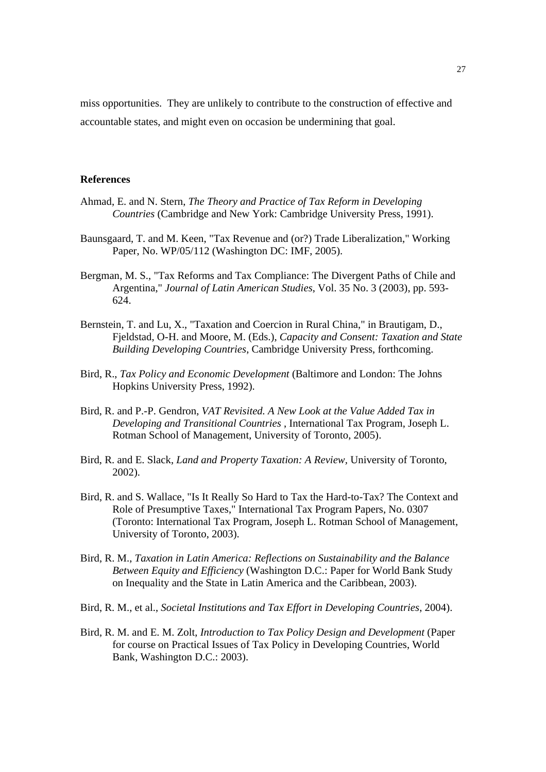miss opportunities. They are unlikely to contribute to the construction of effective and accountable states, and might even on occasion be undermining that goal.

## **References**

- Ahmad, E. and N. Stern, *The Theory and Practice of Tax Reform in Developing Countries* (Cambridge and New York: Cambridge University Press, 1991).
- Baunsgaard, T. and M. Keen, "Tax Revenue and (or?) Trade Liberalization," Working Paper, No. WP/05/112 (Washington DC: IMF, 2005).
- Bergman, M. S., "Tax Reforms and Tax Compliance: The Divergent Paths of Chile and Argentina," *Journal of Latin American Studies*, Vol. 35 No. 3 (2003), pp. 593- 624.
- Bernstein, T. and Lu, X., "Taxation and Coercion in Rural China," in Brautigam, D., Fjeldstad, O-H. and Moore, M. (Eds.), *Capacity and Consent: Taxation and State Building Developing Countries*, Cambridge University Press, forthcoming.
- Bird, R., *Tax Policy and Economic Development* (Baltimore and London: The Johns Hopkins University Press, 1992).
- Bird, R. and P.-P. Gendron, *VAT Revisited. A New Look at the Value Added Tax in Developing and Transitional Countries* , International Tax Program, Joseph L. Rotman School of Management, University of Toronto, 2005).
- Bird, R. and E. Slack, *Land and Property Taxation: A Review,* University of Toronto, 2002).
- Bird, R. and S. Wallace, "Is It Really So Hard to Tax the Hard-to-Tax? The Context and Role of Presumptive Taxes," International Tax Program Papers, No. 0307 (Toronto: International Tax Program, Joseph L. Rotman School of Management, University of Toronto, 2003).
- Bird, R. M., *Taxation in Latin America: Reflections on Sustainability and the Balance Between Equity and Efficiency* (Washington D.C.: Paper for World Bank Study on Inequality and the State in Latin America and the Caribbean, 2003).
- Bird, R. M., et al., *Societal Institutions and Tax Effort in Developing Countries*, 2004).
- Bird, R. M. and E. M. Zolt, *Introduction to Tax Policy Design and Development* (Paper for course on Practical Issues of Tax Policy in Developing Countries, World Bank, Washington D.C.: 2003).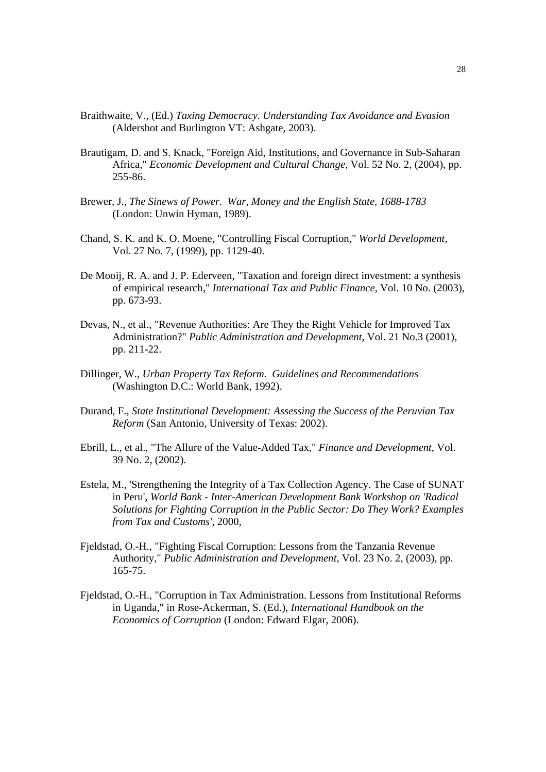- Braithwaite, V., (Ed.) *Taxing Democracy. Understanding Tax Avoidance and Evasion* (Aldershot and Burlington VT: Ashgate, 2003).
- Brautigam, D. and S. Knack, "Foreign Aid, Institutions, and Governance in Sub-Saharan Africa," *Economic Development and Cultural Change*, Vol. 52 No. 2, (2004), pp. 255-86.
- Brewer, J., *The Sinews of Power. War, Money and the English State, 1688-1783* (London: Unwin Hyman, 1989).
- Chand, S. K. and K. O. Moene, "Controlling Fiscal Corruption," *World Development*, Vol. 27 No. 7, (1999), pp. 1129-40.
- De Mooij, R. A. and J. P. Ederveen, "Taxation and foreign direct investment: a synthesis of empirical research," *International Tax and Public Finance*, Vol. 10 No. (2003), pp. 673-93.
- Devas, N., et al., "Revenue Authorities: Are They the Right Vehicle for Improved Tax Administration?" *Public Administration and Development*, Vol. 21 No.3 (2001), pp. 211-22.
- Dillinger, W., *Urban Property Tax Reform. Guidelines and Recommendations* (Washington D.C.: World Bank, 1992).
- Durand, F., *State Institutional Development: Assessing the Success of the Peruvian Tax Reform* (San Antonio, University of Texas: 2002).
- Ebrill, L., et al., "The Allure of the Value-Added Tax," *Finance and Development*, Vol. 39 No. 2, (2002).
- Estela, M., 'Strengthening the Integrity of a Tax Collection Agency. The Case of SUNAT in Peru', *World Bank - Inter-American Development Bank Workshop on 'Radical Solutions for Fighting Corruption in the Public Sector: Do They Work? Examples from Tax and Customs'*, 2000,
- Fjeldstad, O.-H., "Fighting Fiscal Corruption: Lessons from the Tanzania Revenue Authority," *Public Administration and Development*, Vol. 23 No. 2, (2003), pp. 165-75.
- Fjeldstad, O.-H., "Corruption in Tax Administration. Lessons from Institutional Reforms in Uganda," in Rose-Ackerman, S. (Ed.), *International Handbook on the Economics of Corruption* (London: Edward Elgar, 2006).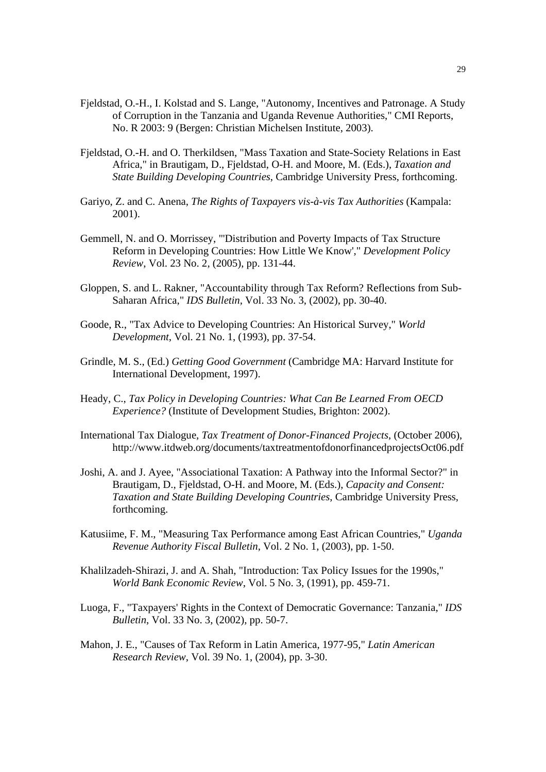- Fjeldstad, O.-H., I. Kolstad and S. Lange, "Autonomy, Incentives and Patronage. A Study of Corruption in the Tanzania and Uganda Revenue Authorities," CMI Reports, No. R 2003: 9 (Bergen: Christian Michelsen Institute, 2003).
- Fjeldstad, O.-H. and O. Therkildsen, "Mass Taxation and State-Society Relations in East Africa," in Brautigam, D., Fjeldstad, O-H. and Moore, M. (Eds.), *Taxation and State Building Developing Countries*, Cambridge University Press, forthcoming.
- Gariyo, Z. and C. Anena, *The Rights of Taxpayers vis-à-vis Tax Authorities* (Kampala: 2001).
- Gemmell, N. and O. Morrissey, "'Distribution and Poverty Impacts of Tax Structure Reform in Developing Countries: How Little We Know'," *Development Policy Review*, Vol. 23 No. 2, (2005), pp. 131-44.
- Gloppen, S. and L. Rakner, "Accountability through Tax Reform? Reflections from Sub-Saharan Africa," *IDS Bulletin*, Vol. 33 No. 3, (2002), pp. 30-40.
- Goode, R., "Tax Advice to Developing Countries: An Historical Survey," *World Development*, Vol. 21 No. 1, (1993), pp. 37-54.
- Grindle, M. S., (Ed.) *Getting Good Government* (Cambridge MA: Harvard Institute for International Development, 1997).
- Heady, C., *Tax Policy in Developing Countries: What Can Be Learned From OECD Experience?* (Institute of Development Studies, Brighton: 2002).
- International Tax Dialogue, *Tax Treatment of Donor-Financed Projects*, (October 2006), http://www.itdweb.org/documents/taxtreatmentofdonorfinancedprojectsOct06.pdf
- Joshi, A. and J. Ayee, "Associational Taxation: A Pathway into the Informal Sector?" in Brautigam, D., Fjeldstad, O-H. and Moore, M. (Eds.), *Capacity and Consent: Taxation and State Building Developing Countries*, Cambridge University Press, forthcoming.
- Katusiime, F. M., "Measuring Tax Performance among East African Countries," *Uganda Revenue Authority Fiscal Bulletin*, Vol. 2 No. 1, (2003), pp. 1-50.
- Khalilzadeh-Shirazi, J. and A. Shah, "Introduction: Tax Policy Issues for the 1990s," *World Bank Economic Review*, Vol. 5 No. 3, (1991), pp. 459-71.
- Luoga, F., "Taxpayers' Rights in the Context of Democratic Governance: Tanzania," *IDS Bulletin*, Vol. 33 No. 3, (2002), pp. 50-7.
- Mahon, J. E., "Causes of Tax Reform in Latin America, 1977-95," *Latin American Research Review*, Vol. 39 No. 1, (2004), pp. 3-30.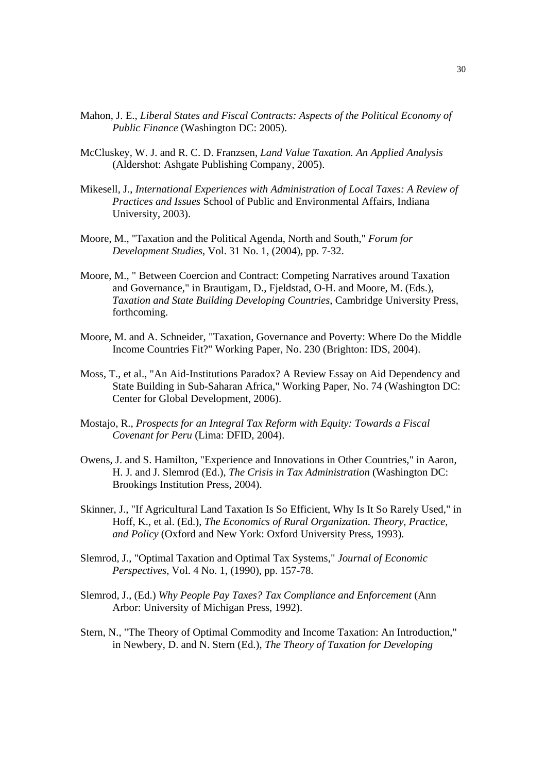- Mahon, J. E., *Liberal States and Fiscal Contracts: Aspects of the Political Economy of Public Finance* (Washington DC: 2005).
- McCluskey, W. J. and R. C. D. Franzsen, *Land Value Taxation. An Applied Analysis* (Aldershot: Ashgate Publishing Company, 2005).
- Mikesell, J., *International Experiences with Administration of Local Taxes: A Review of Practices and Issues* School of Public and Environmental Affairs, Indiana University, 2003).
- Moore, M., "Taxation and the Political Agenda, North and South," *Forum for Development Studies*, Vol. 31 No. 1, (2004), pp. 7-32.
- Moore, M., " Between Coercion and Contract: Competing Narratives around Taxation and Governance," in Brautigam, D., Fjeldstad, O-H. and Moore, M. (Eds.), *Taxation and State Building Developing Countries*, Cambridge University Press, forthcoming.
- Moore, M. and A. Schneider, "Taxation, Governance and Poverty: Where Do the Middle Income Countries Fit?" Working Paper, No. 230 (Brighton: IDS, 2004).
- Moss, T., et al., "An Aid-Institutions Paradox? A Review Essay on Aid Dependency and State Building in Sub-Saharan Africa," Working Paper, No. 74 (Washington DC: Center for Global Development, 2006).
- Mostajo, R., *Prospects for an Integral Tax Reform with Equity: Towards a Fiscal Covenant for Peru* (Lima: DFID, 2004).
- Owens, J. and S. Hamilton, "Experience and Innovations in Other Countries," in Aaron, H. J. and J. Slemrod (Ed.), *The Crisis in Tax Administration* (Washington DC: Brookings Institution Press, 2004).
- Skinner, J., "If Agricultural Land Taxation Is So Efficient, Why Is It So Rarely Used," in Hoff, K., et al. (Ed.), *The Economics of Rural Organization. Theory, Practice, and Policy* (Oxford and New York: Oxford University Press, 1993).
- Slemrod, J., "Optimal Taxation and Optimal Tax Systems," *Journal of Economic Perspectives*, Vol. 4 No. 1, (1990), pp. 157-78.
- Slemrod, J., (Ed.) *Why People Pay Taxes? Tax Compliance and Enforcement* (Ann Arbor: University of Michigan Press, 1992).
- Stern, N., "The Theory of Optimal Commodity and Income Taxation: An Introduction," in Newbery, D. and N. Stern (Ed.), *The Theory of Taxation for Developing*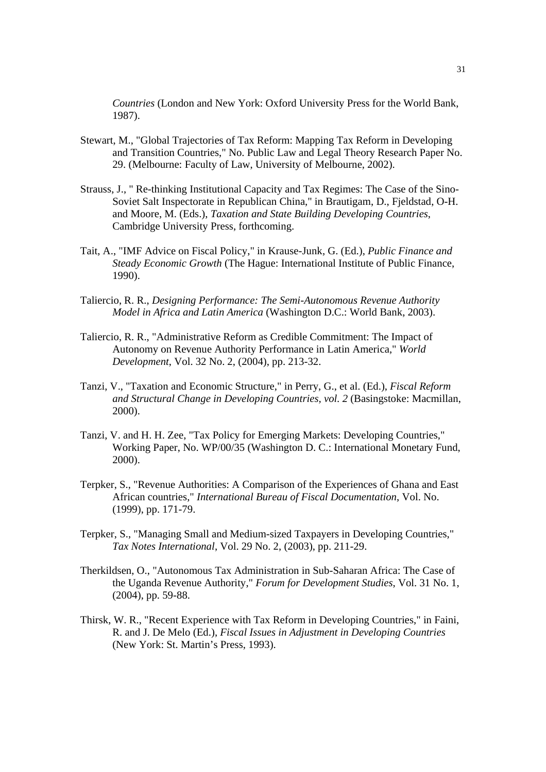*Countries* (London and New York: Oxford University Press for the World Bank, 1987).

- Stewart, M., "Global Trajectories of Tax Reform: Mapping Tax Reform in Developing and Transition Countries," No. Public Law and Legal Theory Research Paper No. 29. (Melbourne: Faculty of Law, University of Melbourne, 2002).
- Strauss, J., " Re-thinking Institutional Capacity and Tax Regimes: The Case of the Sino-Soviet Salt Inspectorate in Republican China," in Brautigam, D., Fjeldstad, O-H. and Moore, M. (Eds.), *Taxation and State Building Developing Countries*, Cambridge University Press, forthcoming.
- Tait, A., "IMF Advice on Fiscal Policy," in Krause-Junk, G. (Ed.), *Public Finance and Steady Economic Growth* (The Hague: International Institute of Public Finance, 1990).
- Taliercio, R. R., *Designing Performance: The Semi-Autonomous Revenue Authority Model in Africa and Latin America* (Washington D.C.: World Bank, 2003).
- Taliercio, R. R., "Administrative Reform as Credible Commitment: The Impact of Autonomy on Revenue Authority Performance in Latin America," *World Development*, Vol. 32 No. 2, (2004), pp. 213-32.
- Tanzi, V., "Taxation and Economic Structure," in Perry, G., et al. (Ed.), *Fiscal Reform and Structural Change in Developing Countries, vol. 2* (Basingstoke: Macmillan, 2000).
- Tanzi, V. and H. H. Zee, "Tax Policy for Emerging Markets: Developing Countries," Working Paper, No. WP/00/35 (Washington D. C.: International Monetary Fund, 2000).
- Terpker, S., "Revenue Authorities: A Comparison of the Experiences of Ghana and East African countries," *International Bureau of Fiscal Documentation*, Vol. No. (1999), pp. 171-79.
- Terpker, S., "Managing Small and Medium-sized Taxpayers in Developing Countries," *Tax Notes International*, Vol. 29 No. 2, (2003), pp. 211-29.
- Therkildsen, O., "Autonomous Tax Administration in Sub-Saharan Africa: The Case of the Uganda Revenue Authority," *Forum for Development Studies*, Vol. 31 No. 1, (2004), pp. 59-88.
- Thirsk, W. R., "Recent Experience with Tax Reform in Developing Countries," in Faini, R. and J. De Melo (Ed.), *Fiscal Issues in Adjustment in Developing Countries* (New York: St. Martin's Press, 1993).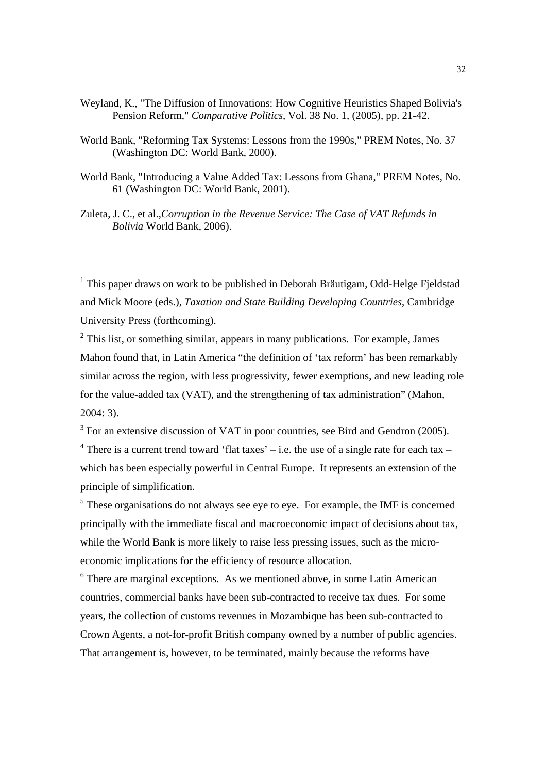- Weyland, K., "The Diffusion of Innovations: How Cognitive Heuristics Shaped Bolivia's Pension Reform," *Comparative Politics*, Vol. 38 No. 1, (2005), pp. 21-42.
- World Bank, "Reforming Tax Systems: Lessons from the 1990s," PREM Notes, No. 37 (Washington DC: World Bank, 2000).
- World Bank, "Introducing a Value Added Tax: Lessons from Ghana," PREM Notes, No. 61 (Washington DC: World Bank, 2001).
- Zuleta, J. C., et al.,*Corruption in the Revenue Service: The Case of VAT Refunds in Bolivia* World Bank, 2006).

<sup>1</sup> This paper draws on work to be published in Deborah Bräutigam, Odd-Helge Fjeldstad and Mick Moore (eds.), *Taxation and State Building Developing Countries*, Cambridge University Press (forthcoming).

 $2$  This list, or something similar, appears in many publications. For example, James Mahon found that, in Latin America "the definition of 'tax reform' has been remarkably similar across the region, with less progressivity, fewer exemptions, and new leading role for the value-added tax (VAT), and the strengthening of tax administration" (Mahon, 2004: 3).

 $3$  For an extensive discussion of VAT in poor countries, see Bird and Gendron (2005).

<sup>4</sup> There is a current trend toward 'flat taxes' – i.e. the use of a single rate for each tax – which has been especially powerful in Central Europe. It represents an extension of the principle of simplification.

<sup>5</sup> These organisations do not always see eye to eye. For example, the IMF is concerned principally with the immediate fiscal and macroeconomic impact of decisions about tax, while the World Bank is more likely to raise less pressing issues, such as the microeconomic implications for the efficiency of resource allocation.

<sup>6</sup> There are marginal exceptions. As we mentioned above, in some Latin American countries, commercial banks have been sub-contracted to receive tax dues. For some years, the collection of customs revenues in Mozambique has been sub-contracted to Crown Agents, a not-for-profit British company owned by a number of public agencies. That arrangement is, however, to be terminated, mainly because the reforms have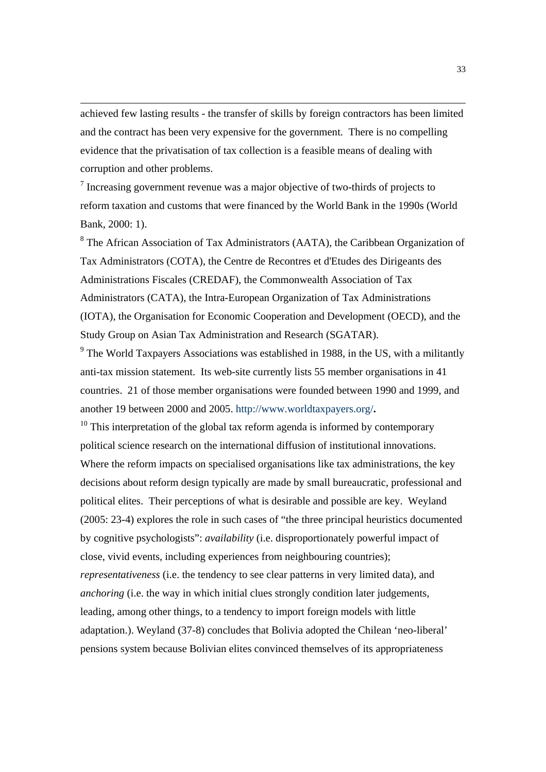achieved few lasting results - the transfer of skills by foreign contractors has been limited and the contract has been very expensive for the government. There is no compelling evidence that the privatisation of tax collection is a feasible means of dealing with corruption and other problems.

l

 $7$  Increasing government revenue was a major objective of two-thirds of projects to reform taxation and customs that were financed by the World Bank in the 1990s (World Bank, 2000: 1).

<sup>8</sup> The African Association of Tax Administrators (AATA), the Caribbean Organization of Tax Administrators (COTA), the Centre de Recontres et d'Etudes des Dirigeants des Administrations Fiscales (CREDAF), the Commonwealth Association of Tax Administrators (CATA), the Intra-European Organization of Tax Administrations (IOTA), the Organisation for Economic Cooperation and Development (OECD), and the Study Group on Asian Tax Administration and Research (SGATAR).

 $9$  The World Taxpayers Associations was established in 1988, in the US, with a militantly anti-tax mission statement. Its web-site currently lists 55 member organisations in 41 countries. 21 of those member organisations were founded between 1990 and 1999, and another 19 between 2000 and 2005. http://www.worldtaxpayers.org/**.**

 $10$  This interpretation of the global tax reform agenda is informed by contemporary political science research on the international diffusion of institutional innovations. Where the reform impacts on specialised organisations like tax administrations, the key decisions about reform design typically are made by small bureaucratic, professional and political elites. Their perceptions of what is desirable and possible are key. Weyland (2005: 23-4) explores the role in such cases of "the three principal heuristics documented by cognitive psychologists": *availability* (i.e. disproportionately powerful impact of close, vivid events, including experiences from neighbouring countries); *representativeness* (i.e. the tendency to see clear patterns in very limited data), and *anchoring* (i.e. the way in which initial clues strongly condition later judgements, leading, among other things, to a tendency to import foreign models with little adaptation.). Weyland (37-8) concludes that Bolivia adopted the Chilean 'neo-liberal' pensions system because Bolivian elites convinced themselves of its appropriateness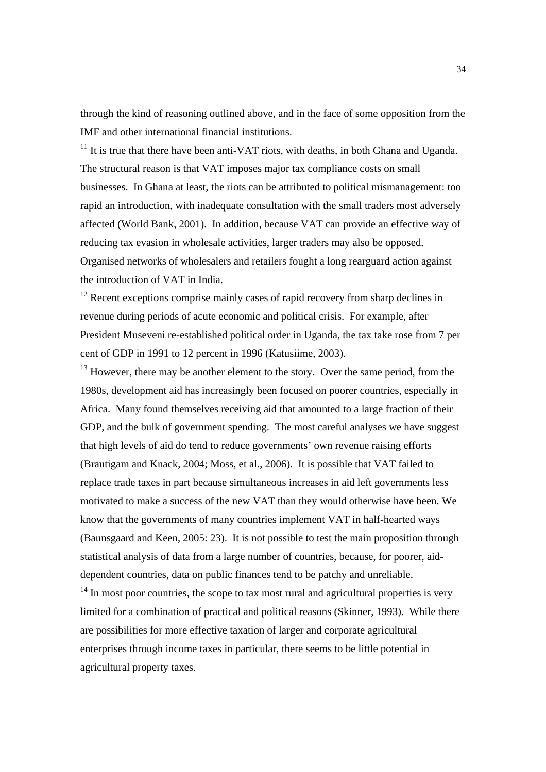through the kind of reasoning outlined above, and in the face of some opposition from the IMF and other international financial institutions.

l

 $11$  It is true that there have been anti-VAT riots, with deaths, in both Ghana and Uganda. The structural reason is that VAT imposes major tax compliance costs on small businesses. In Ghana at least, the riots can be attributed to political mismanagement: too rapid an introduction, with inadequate consultation with the small traders most adversely affected (World Bank, 2001). In addition, because VAT can provide an effective way of reducing tax evasion in wholesale activities, larger traders may also be opposed. Organised networks of wholesalers and retailers fought a long rearguard action against the introduction of VAT in India.

 $12$  Recent exceptions comprise mainly cases of rapid recovery from sharp declines in revenue during periods of acute economic and political crisis. For example, after President Museveni re-established political order in Uganda, the tax take rose from 7 per cent of GDP in 1991 to 12 percent in 1996 (Katusiime, 2003).

<sup>13</sup> However, there may be another element to the story. Over the same period, from the 1980s, development aid has increasingly been focused on poorer countries, especially in Africa. Many found themselves receiving aid that amounted to a large fraction of their GDP, and the bulk of government spending. The most careful analyses we have suggest that high levels of aid do tend to reduce governments' own revenue raising efforts (Brautigam and Knack, 2004; Moss, et al., 2006). It is possible that VAT failed to replace trade taxes in part because simultaneous increases in aid left governments less motivated to make a success of the new VAT than they would otherwise have been. We know that the governments of many countries implement VAT in half-hearted ways (Baunsgaard and Keen, 2005: 23). It is not possible to test the main proposition through statistical analysis of data from a large number of countries, because, for poorer, aiddependent countries, data on public finances tend to be patchy and unreliable.

 $14$  In most poor countries, the scope to tax most rural and agricultural properties is very limited for a combination of practical and political reasons (Skinner, 1993). While there are possibilities for more effective taxation of larger and corporate agricultural enterprises through income taxes in particular, there seems to be little potential in agricultural property taxes.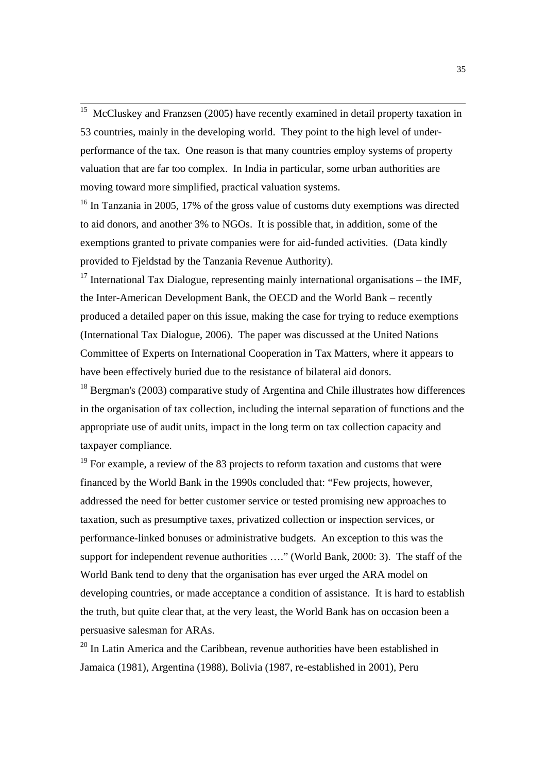<sup>15</sup> McCluskey and Franzsen (2005) have recently examined in detail property taxation in 53 countries, mainly in the developing world. They point to the high level of underperformance of the tax. One reason is that many countries employ systems of property valuation that are far too complex. In India in particular, some urban authorities are moving toward more simplified, practical valuation systems.

<sup>16</sup> In Tanzania in 2005, 17% of the gross value of customs duty exemptions was directed to aid donors, and another 3% to NGOs. It is possible that, in addition, some of the exemptions granted to private companies were for aid-funded activities. (Data kindly provided to Fjeldstad by the Tanzania Revenue Authority).

<sup>17</sup> International Tax Dialogue, representing mainly international organisations – the IMF, the Inter-American Development Bank, the OECD and the World Bank – recently produced a detailed paper on this issue, making the case for trying to reduce exemptions (International Tax Dialogue, 2006). The paper was discussed at the United Nations Committee of Experts on International Cooperation in Tax Matters, where it appears to have been effectively buried due to the resistance of bilateral aid donors.

<sup>18</sup> Bergman's (2003) comparative study of Argentina and Chile illustrates how differences in the organisation of tax collection, including the internal separation of functions and the appropriate use of audit units, impact in the long term on tax collection capacity and taxpayer compliance.

 $19$  For example, a review of the 83 projects to reform taxation and customs that were financed by the World Bank in the 1990s concluded that: "Few projects, however, addressed the need for better customer service or tested promising new approaches to taxation, such as presumptive taxes, privatized collection or inspection services, or performance-linked bonuses or administrative budgets. An exception to this was the support for independent revenue authorities …." (World Bank, 2000: 3). The staff of the World Bank tend to deny that the organisation has ever urged the ARA model on developing countries, or made acceptance a condition of assistance. It is hard to establish the truth, but quite clear that, at the very least, the World Bank has on occasion been a persuasive salesman for ARAs.

 $20$  In Latin America and the Caribbean, revenue authorities have been established in Jamaica (1981), Argentina (1988), Bolivia (1987, re-established in 2001), Peru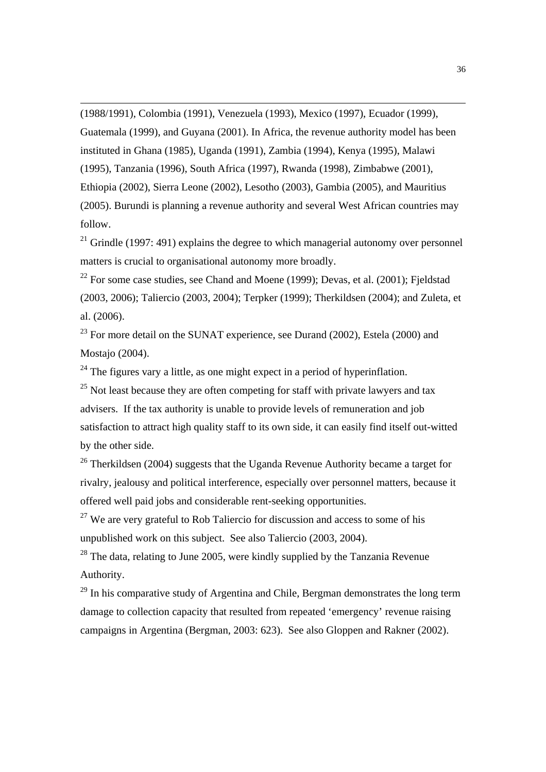(1988/1991), Colombia (1991), Venezuela (1993), Mexico (1997), Ecuador (1999), Guatemala (1999), and Guyana (2001). In Africa, the revenue authority model has been instituted in Ghana (1985), Uganda (1991), Zambia (1994), Kenya (1995), Malawi (1995), Tanzania (1996), South Africa (1997), Rwanda (1998), Zimbabwe (2001), Ethiopia (2002), Sierra Leone (2002), Lesotho (2003), Gambia (2005), and Mauritius (2005). Burundi is planning a revenue authority and several West African countries may follow.

l

 $21$  Grindle (1997: 491) explains the degree to which managerial autonomy over personnel matters is crucial to organisational autonomy more broadly.

 $22$  For some case studies, see Chand and Moene (1999); Devas, et al. (2001); Fieldstad (2003, 2006); Taliercio (2003, 2004); Terpker (1999); Therkildsen (2004); and Zuleta, et al. (2006).

 $^{23}$  For more detail on the SUNAT experience, see Durand (2002), Estela (2000) and Mostajo (2004).

 $24$  The figures vary a little, as one might expect in a period of hyperinflation.

 $25$  Not least because they are often competing for staff with private lawyers and tax advisers. If the tax authority is unable to provide levels of remuneration and job satisfaction to attract high quality staff to its own side, it can easily find itself out-witted by the other side.

<sup>26</sup> Therkildsen (2004) suggests that the Uganda Revenue Authority became a target for rivalry, jealousy and political interference, especially over personnel matters, because it offered well paid jobs and considerable rent-seeking opportunities.

 $27$  We are very grateful to Rob Taliercio for discussion and access to some of his unpublished work on this subject. See also Taliercio (2003, 2004).

 $28$  The data, relating to June 2005, were kindly supplied by the Tanzania Revenue Authority.

 $29$  In his comparative study of Argentina and Chile, Bergman demonstrates the long term damage to collection capacity that resulted from repeated 'emergency' revenue raising campaigns in Argentina (Bergman, 2003: 623). See also Gloppen and Rakner (2002).